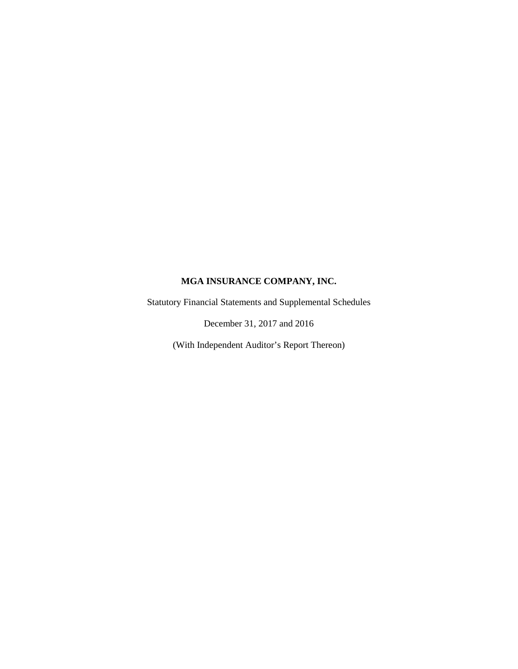Statutory Financial Statements and Supplemental Schedules

December 31, 2017 and 2016

(With Independent Auditor's Report Thereon)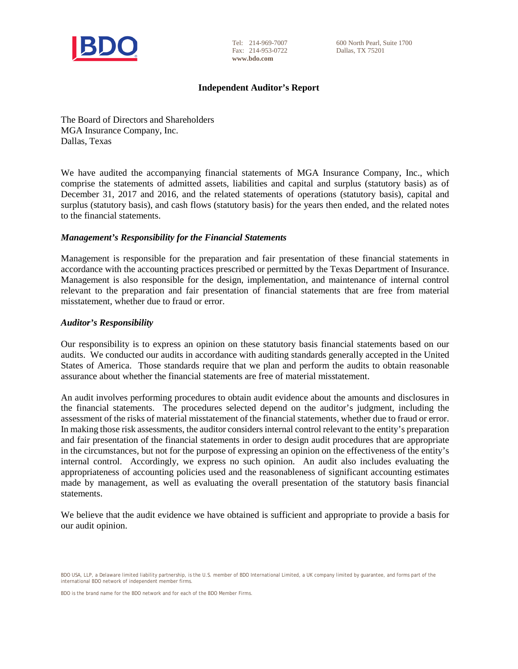

Tel: 214-969-7007 Fax: 214-953-0722 **www.bdo.com**

### **Independent Auditor's Report**

The Board of Directors and Shareholders MGA Insurance Company, Inc. Dallas, Texas

We have audited the accompanying financial statements of MGA Insurance Company, Inc., which comprise the statements of admitted assets, liabilities and capital and surplus (statutory basis) as of December 31, 2017 and 2016, and the related statements of operations (statutory basis), capital and surplus (statutory basis), and cash flows (statutory basis) for the years then ended, and the related notes to the financial statements.

### *Management's Responsibility for the Financial Statements*

Management is responsible for the preparation and fair presentation of these financial statements in accordance with the accounting practices prescribed or permitted by the Texas Department of Insurance. Management is also responsible for the design, implementation, and maintenance of internal control relevant to the preparation and fair presentation of financial statements that are free from material misstatement, whether due to fraud or error.

#### *Auditor's Responsibility*

Our responsibility is to express an opinion on these statutory basis financial statements based on our audits. We conducted our audits in accordance with auditing standards generally accepted in the United States of America. Those standards require that we plan and perform the audits to obtain reasonable assurance about whether the financial statements are free of material misstatement.

An audit involves performing procedures to obtain audit evidence about the amounts and disclosures in the financial statements. The procedures selected depend on the auditor's judgment, including the assessment of the risks of material misstatement of the financial statements, whether due to fraud or error. In making those risk assessments, the auditor considers internal control relevant to the entity's preparation and fair presentation of the financial statements in order to design audit procedures that are appropriate in the circumstances, but not for the purpose of expressing an opinion on the effectiveness of the entity's internal control. Accordingly, we express no such opinion. An audit also includes evaluating the appropriateness of accounting policies used and the reasonableness of significant accounting estimates made by management, as well as evaluating the overall presentation of the statutory basis financial statements.

We believe that the audit evidence we have obtained is sufficient and appropriate to provide a basis for our audit opinion.

BDO USA, LLP, a Delaware limited liability partnership, is the U.S. member of BDO International Limited, a UK company limited by guarantee, and forms part of the international BDO network of independent member firms.

BDO is the brand name for the BDO network and for each of the BDO Member Firms.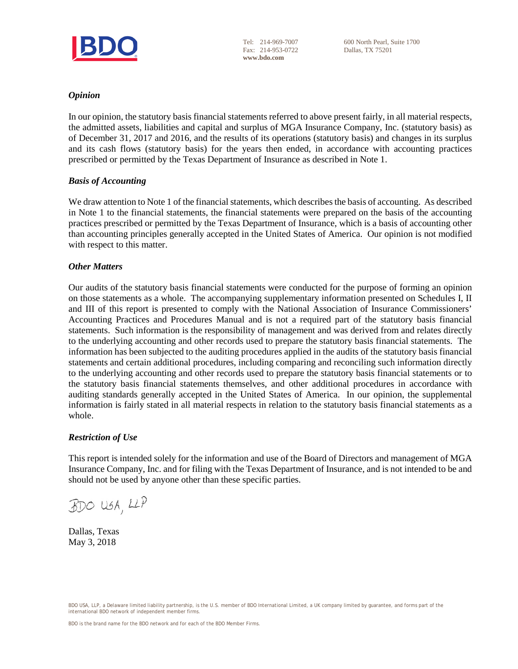

Tel: 214-969-7007 Fax: 214-953-0722 **www.bdo.com**

600 North Pearl, Suite 1700 Dallas, TX 75201

### *Opinion*

In our opinion, the statutory basis financial statements referred to above present fairly, in all material respects, the admitted assets, liabilities and capital and surplus of MGA Insurance Company, Inc. (statutory basis) as of December 31, 2017 and 2016, and the results of its operations (statutory basis) and changes in its surplus and its cash flows (statutory basis) for the years then ended, in accordance with accounting practices prescribed or permitted by the Texas Department of Insurance as described in Note 1.

### *Basis of Accounting*

We draw attention to Note 1 of the financial statements, which describes the basis of accounting. As described in Note 1 to the financial statements, the financial statements were prepared on the basis of the accounting practices prescribed or permitted by the Texas Department of Insurance, which is a basis of accounting other than accounting principles generally accepted in the United States of America. Our opinion is not modified with respect to this matter.

### *Other Matters*

Our audits of the statutory basis financial statements were conducted for the purpose of forming an opinion on those statements as a whole. The accompanying supplementary information presented on Schedules I, II and III of this report is presented to comply with the National Association of Insurance Commissioners' Accounting Practices and Procedures Manual and is not a required part of the statutory basis financial statements. Such information is the responsibility of management and was derived from and relates directly to the underlying accounting and other records used to prepare the statutory basis financial statements. The information has been subjected to the auditing procedures applied in the audits of the statutory basis financial statements and certain additional procedures, including comparing and reconciling such information directly to the underlying accounting and other records used to prepare the statutory basis financial statements or to the statutory basis financial statements themselves, and other additional procedures in accordance with auditing standards generally accepted in the United States of America. In our opinion, the supplemental information is fairly stated in all material respects in relation to the statutory basis financial statements as a whole.

#### *Restriction of Use*

This report is intended solely for the information and use of the Board of Directors and management of MGA Insurance Company, Inc. and for filing with the Texas Department of Insurance, and is not intended to be and should not be used by anyone other than these specific parties.

 $BDO USA, LLP$ 

Dallas, Texas May 3, 2018

BDO USA, LLP, a Delaware limited liability partnership, is the U.S. member of BDO International Limited, a UK company limited by guarantee, and forms part of the international BDO network of independent member firms.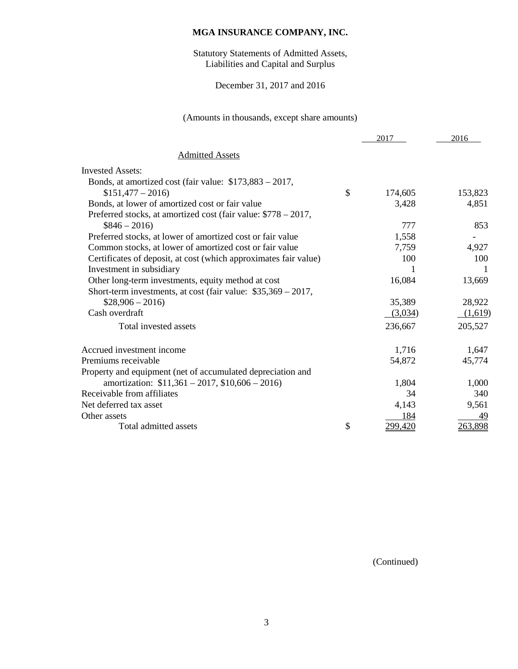Statutory Statements of Admitted Assets, Liabilities and Capital and Surplus

# December 31, 2017 and 2016

(Amounts in thousands, except share amounts)

|                                                                  | 2017          | 2016    |
|------------------------------------------------------------------|---------------|---------|
| <b>Admitted Assets</b>                                           |               |         |
| <b>Invested Assets:</b>                                          |               |         |
| Bonds, at amortized cost (fair value: \$173,883 - 2017,          |               |         |
| $$151,477 - 2016$                                                | \$<br>174,605 | 153,823 |
| Bonds, at lower of amortized cost or fair value                  | 3,428         | 4,851   |
| Preferred stocks, at amortized cost (fair value: \$778 – 2017,   |               |         |
| $$846 - 2016$                                                    | 777           | 853     |
| Preferred stocks, at lower of amortized cost or fair value       | 1,558         |         |
| Common stocks, at lower of amortized cost or fair value          | 7,759         | 4,927   |
| Certificates of deposit, at cost (which approximates fair value) | 100           | 100     |
| Investment in subsidiary                                         |               |         |
| Other long-term investments, equity method at cost               | 16,084        | 13,669  |
| Short-term investments, at cost (fair value: $$35,369 - 2017$ ,  |               |         |
| $$28,906 - 2016$                                                 | 35,389        | 28,922  |
| Cash overdraft                                                   | (3,034)       | (1,619) |
| Total invested assets                                            | 236,667       | 205,527 |
| Accrued investment income                                        | 1,716         | 1,647   |
| Premiums receivable                                              | 54,872        | 45,774  |
| Property and equipment (net of accumulated depreciation and      |               |         |
| amortization: $$11,361 - 2017, $10,606 - 2016$                   | 1,804         | 1,000   |
| Receivable from affiliates                                       | 34            | 340     |
| Net deferred tax asset                                           | 4,143         | 9,561   |
| Other assets                                                     | 184           | 49      |
| Total admitted assets                                            | \$<br>299,420 | 263,898 |

(Continued)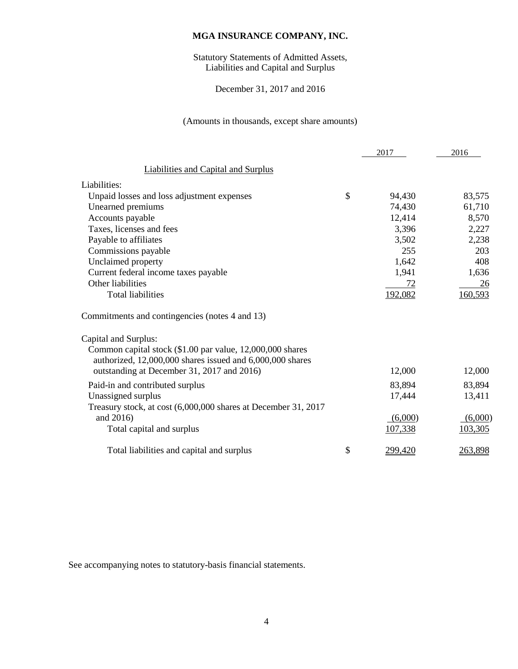## Statutory Statements of Admitted Assets, Liabilities and Capital and Surplus

# December 31, 2017 and 2016

## (Amounts in thousands, except share amounts)

|                                                                                                                        | 2017          | 2016    |
|------------------------------------------------------------------------------------------------------------------------|---------------|---------|
| <b>Liabilities and Capital and Surplus</b>                                                                             |               |         |
| Liabilities:                                                                                                           |               |         |
| Unpaid losses and loss adjustment expenses                                                                             | \$<br>94,430  | 83,575  |
| Unearned premiums                                                                                                      | 74,430        | 61,710  |
| Accounts payable                                                                                                       | 12,414        | 8,570   |
| Taxes, licenses and fees                                                                                               | 3,396         | 2,227   |
| Payable to affiliates                                                                                                  | 3,502         | 2,238   |
| Commissions payable                                                                                                    | 255           | 203     |
| Unclaimed property                                                                                                     | 1,642         | 408     |
| Current federal income taxes payable                                                                                   | 1,941         | 1,636   |
| Other liabilities                                                                                                      | 72            | 26      |
| <b>Total liabilities</b>                                                                                               | 192,082       | 160,593 |
| Commitments and contingencies (notes 4 and 13)                                                                         |               |         |
| Capital and Surplus:                                                                                                   |               |         |
| Common capital stock (\$1.00 par value, 12,000,000 shares<br>authorized, 12,000,000 shares issued and 6,000,000 shares |               |         |
| outstanding at December 31, 2017 and 2016)                                                                             | 12,000        | 12,000  |
| Paid-in and contributed surplus                                                                                        | 83,894        | 83,894  |
| Unassigned surplus                                                                                                     | 17,444        | 13,411  |
| Treasury stock, at cost (6,000,000 shares at December 31, 2017                                                         |               |         |
| and 2016)                                                                                                              | (6,000)       | (6,000) |
| Total capital and surplus                                                                                              | 107,338       | 103,305 |
| Total liabilities and capital and surplus                                                                              | \$<br>299,420 | 263,898 |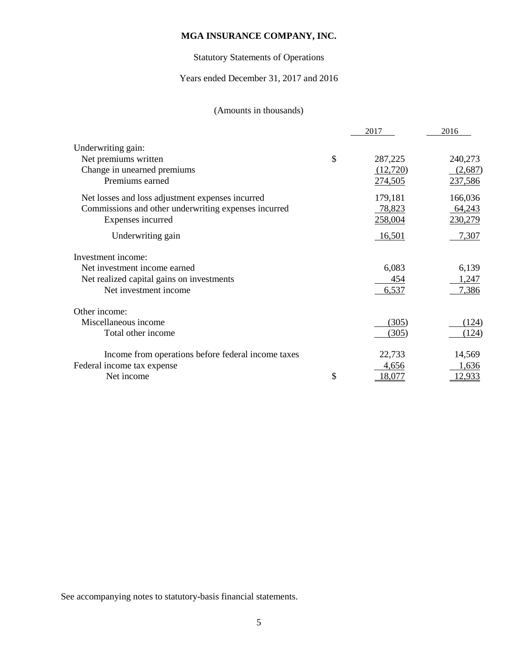# Statutory Statements of Operations

# Years ended December 31, 2017 and 2016

# (Amounts in thousands)

|                                                      | 2017          | 2016    |
|------------------------------------------------------|---------------|---------|
| Underwriting gain:                                   |               |         |
| Net premiums written                                 | \$<br>287,225 | 240,273 |
| Change in unearned premiums                          | (12,720)      | (2,687) |
| Premiums earned                                      | 274,505       | 237,586 |
| Net losses and loss adjustment expenses incurred     | 179,181       | 166,036 |
| Commissions and other underwriting expenses incurred | 78,823        | 64,243  |
| Expenses incurred                                    | 258,004       | 230,279 |
| Underwriting gain                                    | 16,501        | 7,307   |
| Investment income:                                   |               |         |
| Net investment income earned                         | 6,083         | 6,139   |
| Net realized capital gains on investments            | 454           | 1,247   |
| Net investment income                                | 6,537         | 7,386   |
| Other income:                                        |               |         |
| Miscellaneous income                                 | (305)         | (124)   |
| Total other income                                   | (305)         | (124)   |
| Income from operations before federal income taxes   | 22,733        | 14,569  |
| Federal income tax expense                           | 4,656         | 1,636   |
| Net income                                           | \$<br>18,071  | 2,933   |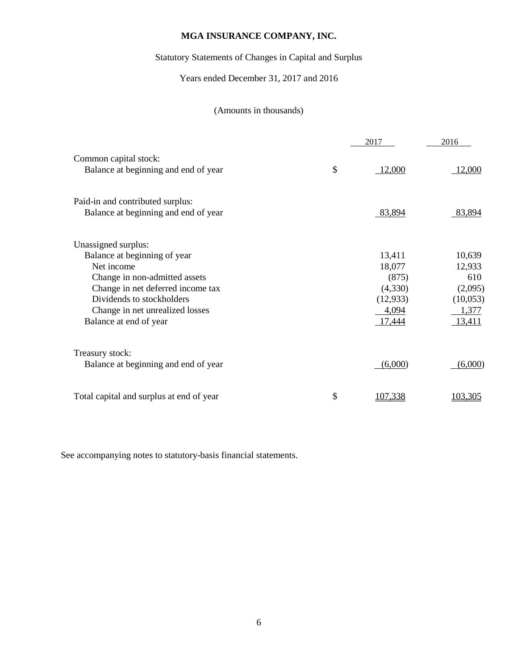# Statutory Statements of Changes in Capital and Surplus

# Years ended December 31, 2017 and 2016

# (Amounts in thousands)

|                                          | 2017          | 2016     |
|------------------------------------------|---------------|----------|
| Common capital stock:                    |               |          |
| Balance at beginning and end of year     | \$<br>12,000  | 12,000   |
| Paid-in and contributed surplus:         |               |          |
| Balance at beginning and end of year     | 83,894        | 83,894   |
| Unassigned surplus:                      |               |          |
| Balance at beginning of year             | 13,411        | 10,639   |
| Net income                               | 18,077        | 12,933   |
| Change in non-admitted assets            | (875)         | 610      |
| Change in net deferred income tax        | (4,330)       | (2,095)  |
| Dividends to stockholders                | (12, 933)     | (10,053) |
| Change in net unrealized losses          | 4,094         | 1,377    |
| Balance at end of year                   | 17,444        | 13,411   |
| Treasury stock:                          |               |          |
| Balance at beginning and end of year     | (6,000)       | (6,000)  |
| Total capital and surplus at end of year | \$<br>107,338 | 103,305  |
|                                          |               |          |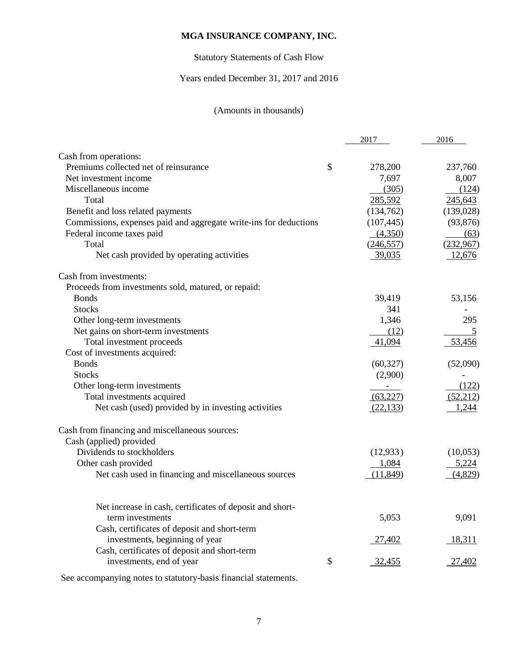# Statutory Statements of Cash Flow

# Years ended December 31, 2017 and 2016

# (Amounts in thousands)

|                                                                   | 2017          | 2016           |
|-------------------------------------------------------------------|---------------|----------------|
| Cash from operations:                                             |               |                |
| Premiums collected net of reinsurance                             | \$<br>278,200 | 237,760        |
| Net investment income                                             | 7,697         | 8,007          |
| Miscellaneous income                                              | (305)         | (124)          |
| Total                                                             | 285,592       | 245,643        |
| Benefit and loss related payments                                 | (134,762)     | (139,028)      |
| Commissions, expenses paid and aggregate write-ins for deductions | (107, 445)    | (93, 876)      |
| Federal income taxes paid                                         | (4,350)       | (63)           |
| Total                                                             | (246, 557)    | (232,967)      |
| Net cash provided by operating activities                         | 39,035        | 12,676         |
|                                                                   |               |                |
| Cash from investments:                                            |               |                |
| Proceeds from investments sold, matured, or repaid:               |               |                |
| <b>Bonds</b>                                                      | 39,419        | 53,156         |
| <b>Stocks</b>                                                     | 341           |                |
| Other long-term investments                                       | 1,346         | 295            |
| Net gains on short-term investments                               | (12)          |                |
| Total investment proceeds                                         | 41,094        | 53,456         |
| Cost of investments acquired:                                     |               |                |
| <b>Bonds</b>                                                      | (60, 327)     | (52,090)       |
| <b>Stocks</b>                                                     | (2,900)       | $\blacksquare$ |
| Other long-term investments                                       | $\sim$        | (122)          |
| Total investments acquired                                        | (63,227)      | (52,212)       |
| Net cash (used) provided by in investing activities               | (22, 133)     | 1,244          |
|                                                                   |               |                |
| Cash from financing and miscellaneous sources:                    |               |                |
| Cash (applied) provided                                           |               |                |
| Dividends to stockholders                                         | (12,933)      | (10,053)       |
| Other cash provided                                               | 1,084         | 5,224          |
| Net cash used in financing and miscellaneous sources              | (11,849)      | (4,829)        |
|                                                                   |               |                |
|                                                                   |               |                |
| Net increase in cash, certificates of deposit and short-          |               |                |
| term investments                                                  | 5,053         | 9,091          |
| Cash, certificates of deposit and short-term                      |               |                |
| investments, beginning of year                                    | 27,402        | 18,311         |
| Cash, certificates of deposit and short-term                      |               |                |
| investments, end of year                                          | \$<br>32,455  | 27,402         |
|                                                                   |               |                |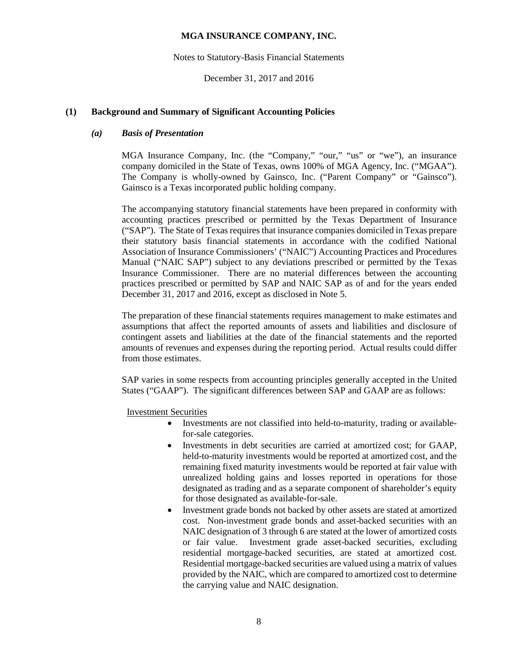Notes to Statutory-Basis Financial Statements

December 31, 2017 and 2016

### **(1) Background and Summary of Significant Accounting Policies**

### *(a) Basis of Presentation*

MGA Insurance Company, Inc. (the "Company," "our," "us" or "we"), an insurance company domiciled in the State of Texas, owns 100% of MGA Agency, Inc. ("MGAA"). The Company is wholly-owned by Gainsco, Inc. ("Parent Company" or "Gainsco"). Gainsco is a Texas incorporated public holding company.

The accompanying statutory financial statements have been prepared in conformity with accounting practices prescribed or permitted by the Texas Department of Insurance ("SAP"). The State of Texas requires that insurance companies domiciled in Texas prepare their statutory basis financial statements in accordance with the codified National Association of Insurance Commissioners' ("NAIC") Accounting Practices and Procedures Manual ("NAIC SAP") subject to any deviations prescribed or permitted by the Texas Insurance Commissioner. There are no material differences between the accounting practices prescribed or permitted by SAP and NAIC SAP as of and for the years ended December 31, 2017 and 2016, except as disclosed in Note 5.

The preparation of these financial statements requires management to make estimates and assumptions that affect the reported amounts of assets and liabilities and disclosure of contingent assets and liabilities at the date of the financial statements and the reported amounts of revenues and expenses during the reporting period. Actual results could differ from those estimates.

SAP varies in some respects from accounting principles generally accepted in the United States ("GAAP"). The significant differences between SAP and GAAP are as follows:

Investment Securities

- Investments are not classified into held-to-maturity, trading or availablefor-sale categories.
- Investments in debt securities are carried at amortized cost; for GAAP, held-to-maturity investments would be reported at amortized cost, and the remaining fixed maturity investments would be reported at fair value with unrealized holding gains and losses reported in operations for those designated as trading and as a separate component of shareholder's equity for those designated as available-for-sale.
- Investment grade bonds not backed by other assets are stated at amortized cost. Non-investment grade bonds and asset-backed securities with an NAIC designation of 3 through 6 are stated at the lower of amortized costs or fair value. Investment grade asset-backed securities, excluding residential mortgage-backed securities, are stated at amortized cost. Residential mortgage-backed securities are valued using a matrix of values provided by the NAIC, which are compared to amortized cost to determine the carrying value and NAIC designation.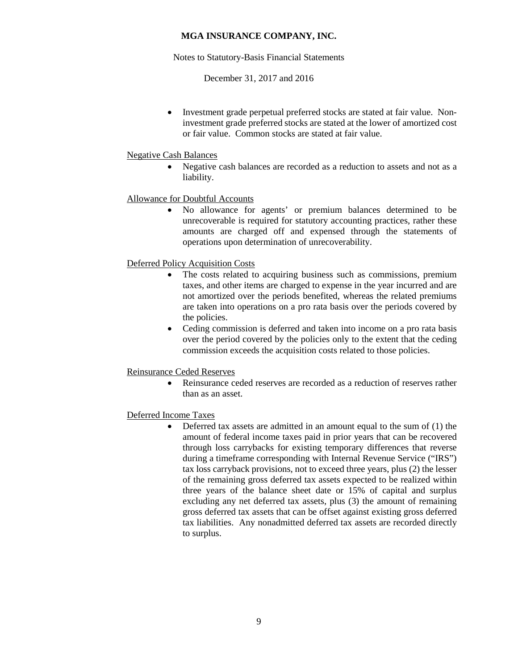Notes to Statutory-Basis Financial Statements

December 31, 2017 and 2016

• Investment grade perpetual preferred stocks are stated at fair value. Noninvestment grade preferred stocks are stated at the lower of amortized cost or fair value. Common stocks are stated at fair value.

## Negative Cash Balances

• Negative cash balances are recorded as a reduction to assets and not as a liability.

## Allowance for Doubtful Accounts

• No allowance for agents' or premium balances determined to be unrecoverable is required for statutory accounting practices, rather these amounts are charged off and expensed through the statements of operations upon determination of unrecoverability.

## Deferred Policy Acquisition Costs

- The costs related to acquiring business such as commissions, premium taxes, and other items are charged to expense in the year incurred and are not amortized over the periods benefited, whereas the related premiums are taken into operations on a pro rata basis over the periods covered by the policies.
- Ceding commission is deferred and taken into income on a pro rata basis over the period covered by the policies only to the extent that the ceding commission exceeds the acquisition costs related to those policies.

### Reinsurance Ceded Reserves

Reinsurance ceded reserves are recorded as a reduction of reserves rather than as an asset.

### Deferred Income Taxes

• Deferred tax assets are admitted in an amount equal to the sum of (1) the amount of federal income taxes paid in prior years that can be recovered through loss carrybacks for existing temporary differences that reverse during a timeframe corresponding with Internal Revenue Service ("IRS") tax loss carryback provisions, not to exceed three years, plus (2) the lesser of the remaining gross deferred tax assets expected to be realized within three years of the balance sheet date or 15% of capital and surplus excluding any net deferred tax assets, plus (3) the amount of remaining gross deferred tax assets that can be offset against existing gross deferred tax liabilities. Any nonadmitted deferred tax assets are recorded directly to surplus.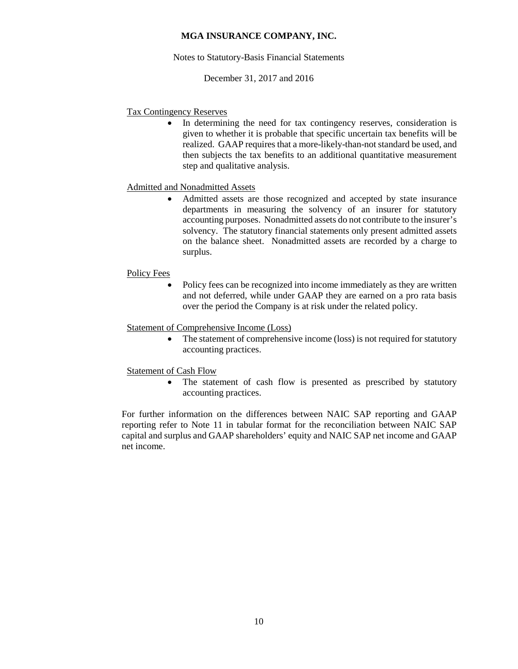Notes to Statutory-Basis Financial Statements

December 31, 2017 and 2016

Tax Contingency Reserves

In determining the need for tax contingency reserves, consideration is given to whether it is probable that specific uncertain tax benefits will be realized. GAAP requires that a more-likely-than-not standard be used, and then subjects the tax benefits to an additional quantitative measurement step and qualitative analysis.

### Admitted and Nonadmitted Assets

• Admitted assets are those recognized and accepted by state insurance departments in measuring the solvency of an insurer for statutory accounting purposes. Nonadmitted assets do not contribute to the insurer's solvency. The statutory financial statements only present admitted assets on the balance sheet. Nonadmitted assets are recorded by a charge to surplus.

### Policy Fees

• Policy fees can be recognized into income immediately as they are written and not deferred, while under GAAP they are earned on a pro rata basis over the period the Company is at risk under the related policy.

### Statement of Comprehensive Income (Loss)

• The statement of comprehensive income (loss) is not required for statutory accounting practices.

Statement of Cash Flow

The statement of cash flow is presented as prescribed by statutory accounting practices.

For further information on the differences between NAIC SAP reporting and GAAP reporting refer to Note 11 in tabular format for the reconciliation between NAIC SAP capital and surplus and GAAP shareholders' equity and NAIC SAP net income and GAAP net income.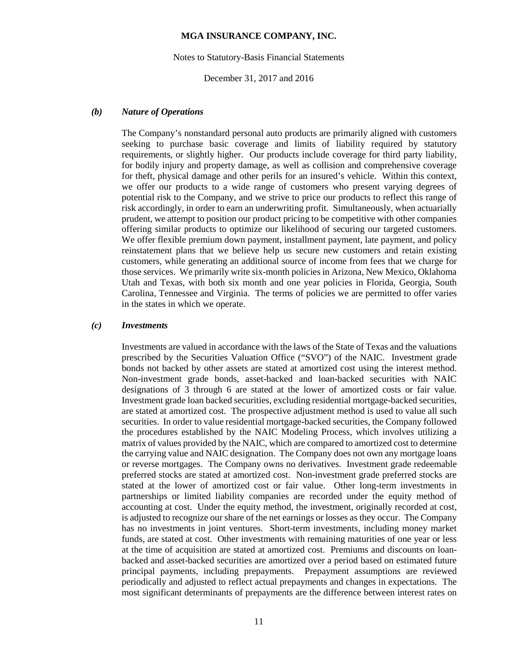#### Notes to Statutory-Basis Financial Statements

December 31, 2017 and 2016

### *(b) Nature of Operations*

The Company's nonstandard personal auto products are primarily aligned with customers seeking to purchase basic coverage and limits of liability required by statutory requirements, or slightly higher. Our products include coverage for third party liability, for bodily injury and property damage, as well as collision and comprehensive coverage for theft, physical damage and other perils for an insured's vehicle. Within this context, we offer our products to a wide range of customers who present varying degrees of potential risk to the Company, and we strive to price our products to reflect this range of risk accordingly, in order to earn an underwriting profit. Simultaneously, when actuarially prudent, we attempt to position our product pricing to be competitive with other companies offering similar products to optimize our likelihood of securing our targeted customers. We offer flexible premium down payment, installment payment, late payment, and policy reinstatement plans that we believe help us secure new customers and retain existing customers, while generating an additional source of income from fees that we charge for those services. We primarily write six-month policies in Arizona, New Mexico, Oklahoma Utah and Texas, with both six month and one year policies in Florida, Georgia, South Carolina, Tennessee and Virginia. The terms of policies we are permitted to offer varies in the states in which we operate.

#### *(c) Investments*

Investments are valued in accordance with the laws of the State of Texas and the valuations prescribed by the Securities Valuation Office ("SVO") of the NAIC. Investment grade bonds not backed by other assets are stated at amortized cost using the interest method. Non-investment grade bonds, asset-backed and loan-backed securities with NAIC designations of 3 through 6 are stated at the lower of amortized costs or fair value. Investment grade loan backed securities, excluding residential mortgage-backed securities, are stated at amortized cost. The prospective adjustment method is used to value all such securities. In order to value residential mortgage-backed securities, the Company followed the procedures established by the NAIC Modeling Process, which involves utilizing a matrix of values provided by the NAIC, which are compared to amortized cost to determine the carrying value and NAIC designation. The Company does not own any mortgage loans or reverse mortgages. The Company owns no derivatives. Investment grade redeemable preferred stocks are stated at amortized cost. Non-investment grade preferred stocks are stated at the lower of amortized cost or fair value. Other long-term investments in partnerships or limited liability companies are recorded under the equity method of accounting at cost. Under the equity method, the investment, originally recorded at cost, is adjusted to recognize our share of the net earnings or losses as they occur. The Company has no investments in joint ventures. Short-term investments, including money market funds, are stated at cost. Other investments with remaining maturities of one year or less at the time of acquisition are stated at amortized cost. Premiums and discounts on loanbacked and asset-backed securities are amortized over a period based on estimated future principal payments, including prepayments. Prepayment assumptions are reviewed periodically and adjusted to reflect actual prepayments and changes in expectations. The most significant determinants of prepayments are the difference between interest rates on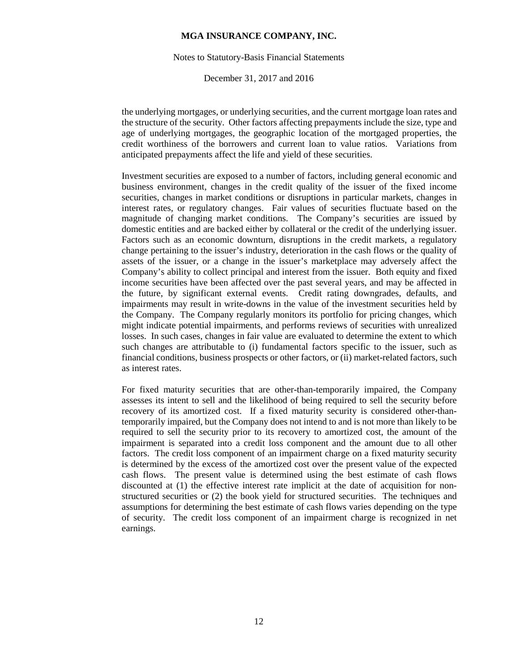Notes to Statutory-Basis Financial Statements

December 31, 2017 and 2016

the underlying mortgages, or underlying securities, and the current mortgage loan rates and the structure of the security. Other factors affecting prepayments include the size, type and age of underlying mortgages, the geographic location of the mortgaged properties, the credit worthiness of the borrowers and current loan to value ratios. Variations from anticipated prepayments affect the life and yield of these securities.

Investment securities are exposed to a number of factors, including general economic and business environment, changes in the credit quality of the issuer of the fixed income securities, changes in market conditions or disruptions in particular markets, changes in interest rates, or regulatory changes. Fair values of securities fluctuate based on the magnitude of changing market conditions. The Company's securities are issued by domestic entities and are backed either by collateral or the credit of the underlying issuer. Factors such as an economic downturn, disruptions in the credit markets, a regulatory change pertaining to the issuer's industry, deterioration in the cash flows or the quality of assets of the issuer, or a change in the issuer's marketplace may adversely affect the Company's ability to collect principal and interest from the issuer. Both equity and fixed income securities have been affected over the past several years, and may be affected in the future, by significant external events. Credit rating downgrades, defaults, and impairments may result in write-downs in the value of the investment securities held by the Company. The Company regularly monitors its portfolio for pricing changes, which might indicate potential impairments, and performs reviews of securities with unrealized losses. In such cases, changes in fair value are evaluated to determine the extent to which such changes are attributable to (i) fundamental factors specific to the issuer, such as financial conditions, business prospects or other factors, or (ii) market-related factors, such as interest rates.

For fixed maturity securities that are other-than-temporarily impaired, the Company assesses its intent to sell and the likelihood of being required to sell the security before recovery of its amortized cost. If a fixed maturity security is considered other-thantemporarily impaired, but the Company does not intend to and is not more than likely to be required to sell the security prior to its recovery to amortized cost, the amount of the impairment is separated into a credit loss component and the amount due to all other factors. The credit loss component of an impairment charge on a fixed maturity security is determined by the excess of the amortized cost over the present value of the expected cash flows. The present value is determined using the best estimate of cash flows discounted at (1) the effective interest rate implicit at the date of acquisition for nonstructured securities or (2) the book yield for structured securities. The techniques and assumptions for determining the best estimate of cash flows varies depending on the type of security. The credit loss component of an impairment charge is recognized in net earnings.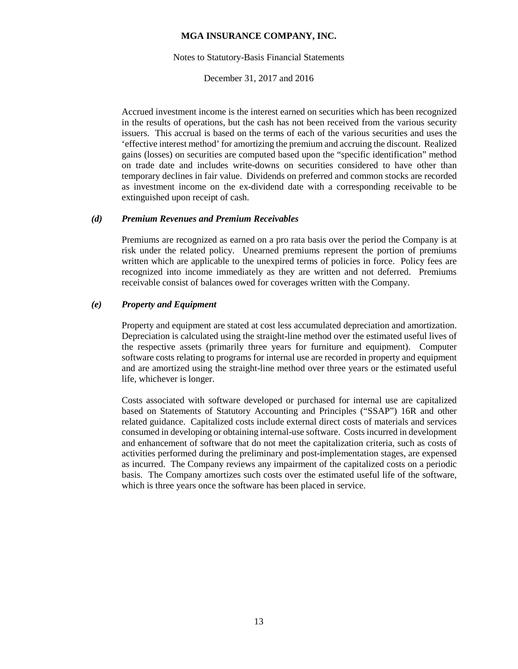#### Notes to Statutory-Basis Financial Statements

December 31, 2017 and 2016

Accrued investment income is the interest earned on securities which has been recognized in the results of operations, but the cash has not been received from the various security issuers. This accrual is based on the terms of each of the various securities and uses the 'effective interest method' for amortizing the premium and accruing the discount. Realized gains (losses) on securities are computed based upon the "specific identification" method on trade date and includes write-downs on securities considered to have other than temporary declines in fair value. Dividends on preferred and common stocks are recorded as investment income on the ex-dividend date with a corresponding receivable to be extinguished upon receipt of cash.

### *(d) Premium Revenues and Premium Receivables*

Premiums are recognized as earned on a pro rata basis over the period the Company is at risk under the related policy. Unearned premiums represent the portion of premiums written which are applicable to the unexpired terms of policies in force. Policy fees are recognized into income immediately as they are written and not deferred. Premiums receivable consist of balances owed for coverages written with the Company.

### *(e) Property and Equipment*

Property and equipment are stated at cost less accumulated depreciation and amortization. Depreciation is calculated using the straight-line method over the estimated useful lives of the respective assets (primarily three years for furniture and equipment). Computer software costs relating to programs for internal use are recorded in property and equipment and are amortized using the straight-line method over three years or the estimated useful life, whichever is longer.

Costs associated with software developed or purchased for internal use are capitalized based on Statements of Statutory Accounting and Principles ("SSAP") 16R and other related guidance. Capitalized costs include external direct costs of materials and services consumed in developing or obtaining internal-use software. Costs incurred in development and enhancement of software that do not meet the capitalization criteria, such as costs of activities performed during the preliminary and post-implementation stages, are expensed as incurred. The Company reviews any impairment of the capitalized costs on a periodic basis. The Company amortizes such costs over the estimated useful life of the software, which is three years once the software has been placed in service.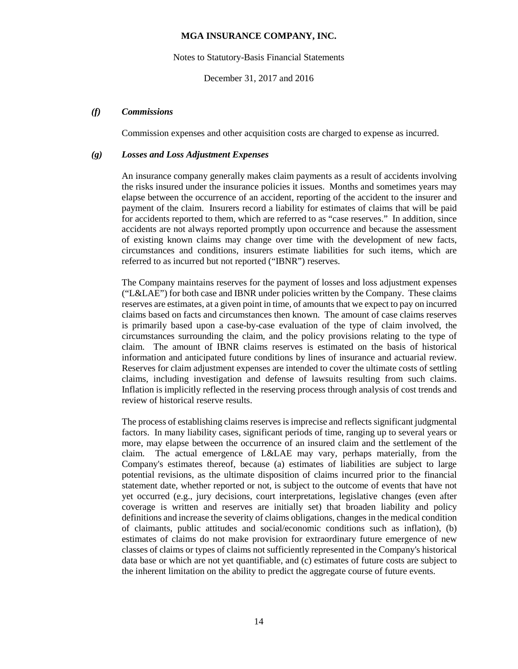Notes to Statutory-Basis Financial Statements

December 31, 2017 and 2016

#### *(f) Commissions*

Commission expenses and other acquisition costs are charged to expense as incurred.

#### *(g) Losses and Loss Adjustment Expenses*

An insurance company generally makes claim payments as a result of accidents involving the risks insured under the insurance policies it issues. Months and sometimes years may elapse between the occurrence of an accident, reporting of the accident to the insurer and payment of the claim. Insurers record a liability for estimates of claims that will be paid for accidents reported to them, which are referred to as "case reserves." In addition, since accidents are not always reported promptly upon occurrence and because the assessment of existing known claims may change over time with the development of new facts, circumstances and conditions, insurers estimate liabilities for such items, which are referred to as incurred but not reported ("IBNR") reserves.

The Company maintains reserves for the payment of losses and loss adjustment expenses ("L&LAE") for both case and IBNR under policies written by the Company. These claims reserves are estimates, at a given point in time, of amounts that we expect to pay on incurred claims based on facts and circumstances then known. The amount of case claims reserves is primarily based upon a case-by-case evaluation of the type of claim involved, the circumstances surrounding the claim, and the policy provisions relating to the type of claim. The amount of IBNR claims reserves is estimated on the basis of historical information and anticipated future conditions by lines of insurance and actuarial review. Reserves for claim adjustment expenses are intended to cover the ultimate costs of settling claims, including investigation and defense of lawsuits resulting from such claims. Inflation is implicitly reflected in the reserving process through analysis of cost trends and review of historical reserve results.

The process of establishing claims reserves is imprecise and reflects significant judgmental factors. In many liability cases, significant periods of time, ranging up to several years or more, may elapse between the occurrence of an insured claim and the settlement of the claim. The actual emergence of L&LAE may vary, perhaps materially, from the Company's estimates thereof, because (a) estimates of liabilities are subject to large potential revisions, as the ultimate disposition of claims incurred prior to the financial statement date, whether reported or not, is subject to the outcome of events that have not yet occurred (e.g., jury decisions, court interpretations, legislative changes (even after coverage is written and reserves are initially set) that broaden liability and policy definitions and increase the severity of claims obligations, changes in the medical condition of claimants, public attitudes and social/economic conditions such as inflation), (b) estimates of claims do not make provision for extraordinary future emergence of new classes of claims or types of claims not sufficiently represented in the Company's historical data base or which are not yet quantifiable, and (c) estimates of future costs are subject to the inherent limitation on the ability to predict the aggregate course of future events.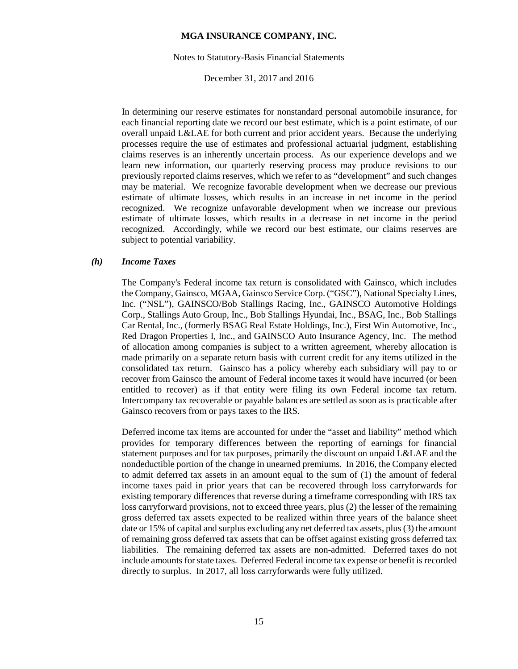Notes to Statutory-Basis Financial Statements

December 31, 2017 and 2016

In determining our reserve estimates for nonstandard personal automobile insurance, for each financial reporting date we record our best estimate, which is a point estimate, of our overall unpaid L&LAE for both current and prior accident years. Because the underlying processes require the use of estimates and professional actuarial judgment, establishing claims reserves is an inherently uncertain process. As our experience develops and we learn new information, our quarterly reserving process may produce revisions to our previously reported claims reserves, which we refer to as "development" and such changes may be material. We recognize favorable development when we decrease our previous estimate of ultimate losses, which results in an increase in net income in the period recognized. We recognize unfavorable development when we increase our previous estimate of ultimate losses, which results in a decrease in net income in the period recognized. Accordingly, while we record our best estimate, our claims reserves are subject to potential variability.

### *(h) Income Taxes*

The Company's Federal income tax return is consolidated with Gainsco, which includes the Company, Gainsco, MGAA, Gainsco Service Corp. ("GSC"), National Specialty Lines, Inc. ("NSL"), GAINSCO/Bob Stallings Racing, Inc., GAINSCO Automotive Holdings Corp., Stallings Auto Group, Inc., Bob Stallings Hyundai, Inc., BSAG, Inc., Bob Stallings Car Rental, Inc., (formerly BSAG Real Estate Holdings, Inc.), First Win Automotive, Inc., Red Dragon Properties I, Inc., and GAINSCO Auto Insurance Agency, Inc. The method of allocation among companies is subject to a written agreement, whereby allocation is made primarily on a separate return basis with current credit for any items utilized in the consolidated tax return. Gainsco has a policy whereby each subsidiary will pay to or recover from Gainsco the amount of Federal income taxes it would have incurred (or been entitled to recover) as if that entity were filing its own Federal income tax return. Intercompany tax recoverable or payable balances are settled as soon as is practicable after Gainsco recovers from or pays taxes to the IRS.

Deferred income tax items are accounted for under the "asset and liability" method which provides for temporary differences between the reporting of earnings for financial statement purposes and for tax purposes, primarily the discount on unpaid L&LAE and the nondeductible portion of the change in unearned premiums. In 2016, the Company elected to admit deferred tax assets in an amount equal to the sum of (1) the amount of federal income taxes paid in prior years that can be recovered through loss carryforwards for existing temporary differences that reverse during a timeframe corresponding with IRS tax loss carryforward provisions, not to exceed three years, plus (2) the lesser of the remaining gross deferred tax assets expected to be realized within three years of the balance sheet date or 15% of capital and surplus excluding any net deferred tax assets, plus (3) the amount of remaining gross deferred tax assets that can be offset against existing gross deferred tax liabilities. The remaining deferred tax assets are non-admitted. Deferred taxes do not include amounts for state taxes. Deferred Federal income tax expense or benefit is recorded directly to surplus. In 2017, all loss carryforwards were fully utilized.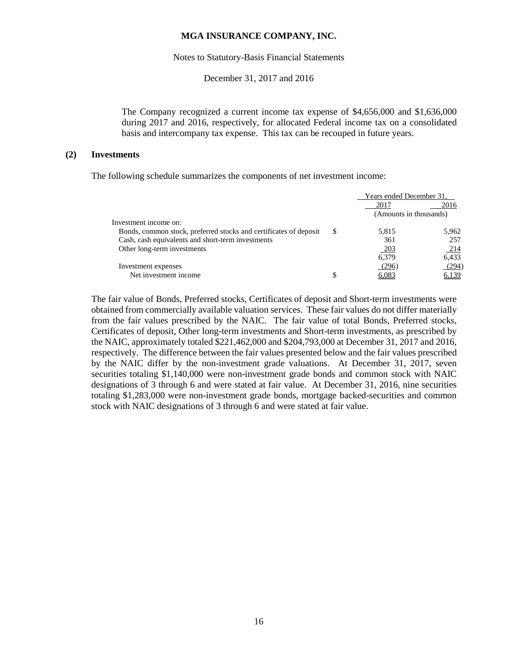#### Notes to Statutory-Basis Financial Statements

### December 31, 2017 and 2016

The Company recognized a current income tax expense of \$4,656,000 and \$1,636,000 during 2017 and 2016, respectively, for allocated Federal income tax on a consolidated basis and intercompany tax expense. This tax can be recouped in future years.

#### **(2) Investments**

The following schedule summarizes the components of net investment income:

|                                                                   |     | Years ended December 31,<br>2017<br>(Amounts in thousands) | 2016  |
|-------------------------------------------------------------------|-----|------------------------------------------------------------|-------|
| Investment income on:                                             |     |                                                            |       |
| Bonds, common stock, preferred stocks and certificates of deposit | \$. | 5,815                                                      | 5.962 |
| Cash, cash equivalents and short-term investments                 |     | 361                                                        | 257   |
| Other long-term investments                                       |     | <sup>203</sup>                                             | 214   |
|                                                                   |     | 6.379                                                      | 6,433 |
| Investment expenses                                               |     | (296)                                                      | (294) |
| Net investment income                                             |     |                                                            |       |

The fair value of Bonds, Preferred stocks, Certificates of deposit and Short-term investments were obtained from commercially available valuation services. These fair values do not differ materially from the fair values prescribed by the NAIC. The fair value of total Bonds, Preferred stocks, Certificates of deposit, Other long-term investments and Short-term investments, as prescribed by the NAIC, approximately totaled \$221,462,000 and \$204,793,000 at December 31, 2017 and 2016, respectively. The difference between the fair values presented below and the fair values prescribed by the NAIC differ by the non-investment grade valuations. At December 31, 2017, seven securities totaling \$1,140,000 were non-investment grade bonds and common stock with NAIC designations of 3 through 6 and were stated at fair value.At December 31, 2016, nine securities totaling \$1,283,000 were non-investment grade bonds, mortgage backed-securities and common stock with NAIC designations of 3 through 6 and were stated at fair value.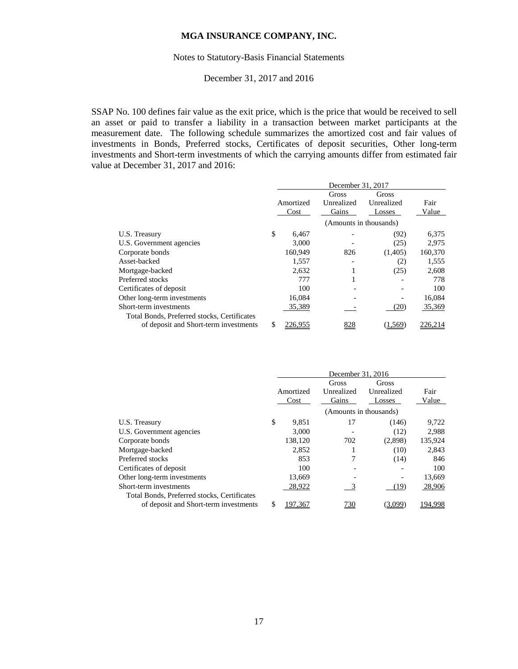### Notes to Statutory-Basis Financial Statements

### December 31, 2017 and 2016

SSAP No. 100 defines fair value as the exit price, which is the price that would be received to sell an asset or paid to transfer a liability in a transaction between market participants at the measurement date. The following schedule summarizes the amortized cost and fair values of investments in Bonds, Preferred stocks, Certificates of deposit securities, Other long-term investments and Short-term investments of which the carrying amounts differ from estimated fair value at December 31, 2017 and 2016:

|                                             | December 31, 2017 |                   |                              |                               |               |  |  |
|---------------------------------------------|-------------------|-------------------|------------------------------|-------------------------------|---------------|--|--|
|                                             |                   | Amortized<br>Cost | Gross<br>Unrealized<br>Gains | Gross<br>Unrealized<br>Losses | Fair<br>Value |  |  |
|                                             |                   |                   | (Amounts in thousands)       |                               |               |  |  |
| U.S. Treasury                               | \$                | 6,467             |                              | (92)                          | 6,375         |  |  |
| U.S. Government agencies                    |                   | 3,000             |                              | (25)                          | 2,975         |  |  |
| Corporate bonds                             |                   | 160,949           | 826                          | (1,405)                       | 160,370       |  |  |
| Asset-backed                                |                   | 1,557             |                              | (2)                           | 1,555         |  |  |
| Mortgage-backed                             |                   | 2,632             |                              | (25)                          | 2,608         |  |  |
| Preferred stocks                            |                   | 777               |                              |                               | 778           |  |  |
| Certificates of deposit                     |                   | 100               |                              |                               | 100           |  |  |
| Other long-term investments                 |                   | 16,084            |                              |                               | 16,084        |  |  |
| Short-term investments                      |                   | 35,389            |                              | (20)                          | 35,369        |  |  |
| Total Bonds, Preferred stocks, Certificates |                   |                   |                              |                               |               |  |  |
| of deposit and Short-term investments       | \$                | 26.955            | 828                          | 1.569                         | 226.214       |  |  |

|                                             | December 31, 2016 |                   |                              |                               |               |  |  |
|---------------------------------------------|-------------------|-------------------|------------------------------|-------------------------------|---------------|--|--|
|                                             |                   | Amortized<br>Cost | Gross<br>Unrealized<br>Gains | Gross<br>Unrealized<br>Losses | Fair<br>Value |  |  |
|                                             |                   |                   | (Amounts in thousands)       |                               |               |  |  |
| U.S. Treasury                               | \$                | 9,851             | 17                           | (146)                         | 9,722         |  |  |
| U.S. Government agencies                    |                   | 3.000             |                              | (12)                          | 2,988         |  |  |
| Corporate bonds                             |                   | 138.120           | 702                          | (2,898)                       | 135,924       |  |  |
| Mortgage-backed                             |                   | 2,852             |                              | (10)                          | 2,843         |  |  |
| Preferred stocks                            |                   | 853               | 7                            | (14)                          | 846           |  |  |
| Certificates of deposit                     |                   | 100               |                              |                               | 100           |  |  |
| Other long-term investments                 |                   | 13,669            |                              |                               | 13,669        |  |  |
| Short-term investments                      |                   | 28,922            |                              | (19)                          | 28,906        |  |  |
| Total Bonds, Preferred stocks, Certificates |                   |                   |                              |                               |               |  |  |
| of deposit and Short-term investments       | \$                | 197,367           | <u>730</u>                   | (3.099                        | 194.998       |  |  |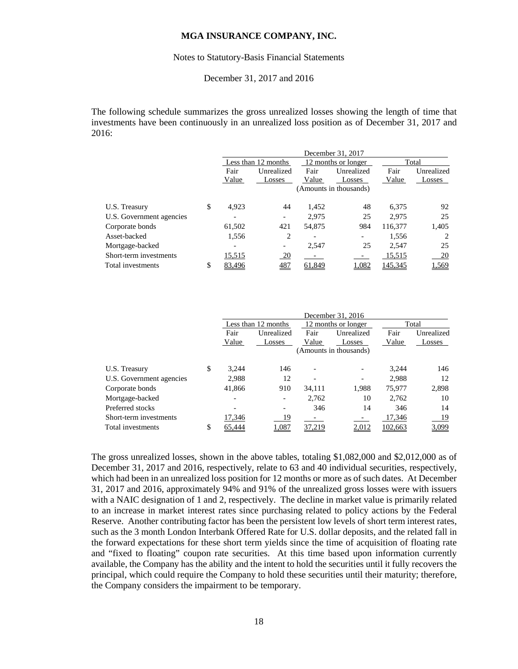#### Notes to Statutory-Basis Financial Statements

### December 31, 2017 and 2016

The following schedule summarizes the gross unrealized losses showing the length of time that investments have been continuously in an unrealized loss position as of December 31, 2017 and 2016:

|                          |              | December 31, 2017      |        |                     |         |            |  |
|--------------------------|--------------|------------------------|--------|---------------------|---------|------------|--|
|                          |              | Less than 12 months    |        | 12 months or longer |         | Total      |  |
|                          | Fair         | Unrealized             |        | Unrealized          | Fair    | Unrealized |  |
|                          | Value        | Losses                 | Value  | Losses              | Value   | Losses     |  |
|                          |              | (Amounts in thousands) |        |                     |         |            |  |
| U.S. Treasury            | \$<br>4.923  | 44                     | 1,452  | 48                  | 6,375   | 92         |  |
| U.S. Government agencies |              |                        | 2,975  | 25                  | 2,975   | 25         |  |
| Corporate bonds          | 61,502       | 421                    | 54,875 | 984                 | 116,377 | 1,405      |  |
| Asset-backed             | 1,556        | 2                      |        |                     | 1,556   | 2          |  |
| Mortgage-backed          |              |                        | 2,547  | 25                  | 2,547   | 25         |  |
| Short-term investments   | 15,515       | <u>20</u>              |        |                     | 15,515  | 20         |  |
| Total investments        | \$<br>83,496 | 487                    | 61,849 | 1,082               | 145,345 | 1,569      |  |

|                          | December 31, 2016 |                     |        |                     |         |            |  |
|--------------------------|-------------------|---------------------|--------|---------------------|---------|------------|--|
|                          |                   | Less than 12 months |        | 12 months or longer |         | Total      |  |
|                          | Fair              | Unrealized          | Fair   | Unrealized          | Fair    | Unrealized |  |
|                          | Value             | Losses              | Value  | Losses              | Value   | Losses     |  |
|                          |                   |                     |        |                     |         |            |  |
| U.S. Treasury            | \$<br>3.244       | 146                 |        |                     | 3,244   | 146        |  |
| U.S. Government agencies | 2,988             | 12                  |        |                     | 2.988   | 12         |  |
| Corporate bonds          | 41,866            | 910                 | 34,111 | 1,988               | 75,977  | 2,898      |  |
| Mortgage-backed          |                   |                     | 2.762  | 10                  | 2,762   | 10         |  |
| Preferred stocks         |                   |                     | 346    | 14                  | 346     | 14         |  |
| Short-term investments   | 17,346            | 19                  |        |                     | 17,346  | <u> 19</u> |  |
| Total investments        | \$<br>65.444      | 1,087               | 37,219 | 2,012               | 102,663 | 3,099      |  |

The gross unrealized losses, shown in the above tables, totaling \$1,082,000 and \$2,012,000 as of December 31, 2017 and 2016, respectively, relate to 63 and 40 individual securities, respectively, which had been in an unrealized loss position for 12 months or more as of such dates. At December 31, 2017 and 2016, approximately 94% and 91% of the unrealized gross losses were with issuers with a NAIC designation of 1 and 2, respectively. The decline in market value is primarily related to an increase in market interest rates since purchasing related to policy actions by the Federal Reserve. Another contributing factor has been the persistent low levels of short term interest rates, such as the 3 month London Interbank Offered Rate for U.S. dollar deposits, and the related fall in the forward expectations for these short term yields since the time of acquisition of floating rate and "fixed to floating" coupon rate securities. At this time based upon information currently available, the Company has the ability and the intent to hold the securities until it fully recovers the principal, which could require the Company to hold these securities until their maturity; therefore, the Company considers the impairment to be temporary.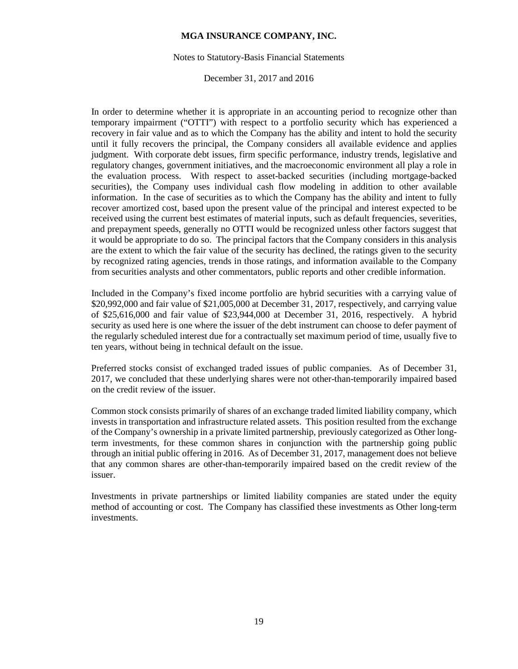#### Notes to Statutory-Basis Financial Statements

December 31, 2017 and 2016

In order to determine whether it is appropriate in an accounting period to recognize other than temporary impairment ("OTTI") with respect to a portfolio security which has experienced a recovery in fair value and as to which the Company has the ability and intent to hold the security until it fully recovers the principal, the Company considers all available evidence and applies judgment. With corporate debt issues, firm specific performance, industry trends, legislative and regulatory changes, government initiatives, and the macroeconomic environment all play a role in the evaluation process. With respect to asset-backed securities (including mortgage-backed securities), the Company uses individual cash flow modeling in addition to other available information. In the case of securities as to which the Company has the ability and intent to fully recover amortized cost, based upon the present value of the principal and interest expected to be received using the current best estimates of material inputs, such as default frequencies, severities, and prepayment speeds, generally no OTTI would be recognized unless other factors suggest that it would be appropriate to do so. The principal factors that the Company considers in this analysis are the extent to which the fair value of the security has declined, the ratings given to the security by recognized rating agencies, trends in those ratings, and information available to the Company from securities analysts and other commentators, public reports and other credible information.

Included in the Company's fixed income portfolio are hybrid securities with a carrying value of \$20,992,000 and fair value of \$21,005,000 at December 31, 2017, respectively, and carrying value of \$25,616,000 and fair value of \$23,944,000 at December 31, 2016, respectively. A hybrid security as used here is one where the issuer of the debt instrument can choose to defer payment of the regularly scheduled interest due for a contractually set maximum period of time, usually five to ten years, without being in technical default on the issue.

Preferred stocks consist of exchanged traded issues of public companies. As of December 31, 2017, we concluded that these underlying shares were not other-than-temporarily impaired based on the credit review of the issuer.

Common stock consists primarily of shares of an exchange traded limited liability company, which invests in transportation and infrastructure related assets. This position resulted from the exchange of the Company's ownership in a private limited partnership, previously categorized as Other longterm investments, for these common shares in conjunction with the partnership going public through an initial public offering in 2016. As of December 31, 2017, management does not believe that any common shares are other-than-temporarily impaired based on the credit review of the issuer.

Investments in private partnerships or limited liability companies are stated under the equity method of accounting or cost. The Company has classified these investments as Other long-term investments.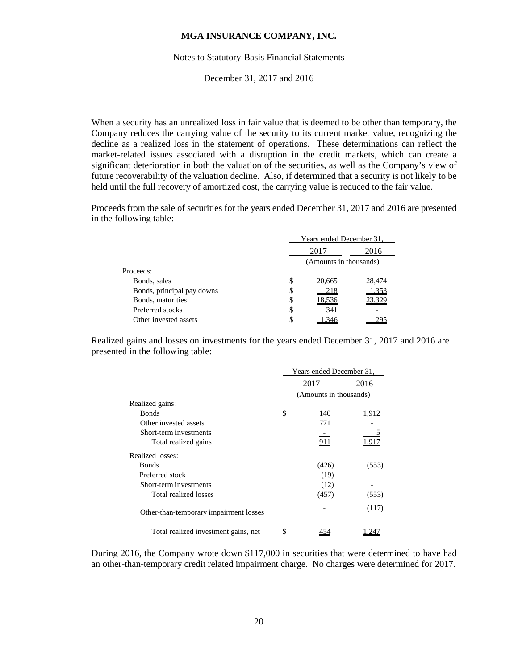#### Notes to Statutory-Basis Financial Statements

### December 31, 2017 and 2016

When a security has an unrealized loss in fair value that is deemed to be other than temporary, the Company reduces the carrying value of the security to its current market value, recognizing the decline as a realized loss in the statement of operations. These determinations can reflect the market-related issues associated with a disruption in the credit markets, which can create a significant deterioration in both the valuation of the securities, as well as the Company's view of future recoverability of the valuation decline. Also, if determined that a security is not likely to be held until the full recovery of amortized cost, the carrying value is reduced to the fair value.

Proceeds from the sale of securities for the years ended December 31, 2017 and 2016 are presented in the following table:

|                            | Years ended December 31. |                        |            |  |  |  |
|----------------------------|--------------------------|------------------------|------------|--|--|--|
|                            |                          | 2016                   |            |  |  |  |
|                            |                          | (Amounts in thousands) |            |  |  |  |
| Proceeds:                  |                          |                        |            |  |  |  |
| Bonds, sales               | \$                       | 20,665                 | 28,474     |  |  |  |
| Bonds, principal pay downs | \$                       | 218                    | $1.35^{4}$ |  |  |  |
| Bonds, maturities          | \$                       | 18.536                 |            |  |  |  |
| Preferred stocks           | \$                       | 341                    |            |  |  |  |
| Other invested assets      | \$                       |                        |            |  |  |  |

Realized gains and losses on investments for the years ended December 31, 2017 and 2016 are presented in the following table:

|                                        | Years ended December 31, |                        |       |  |
|----------------------------------------|--------------------------|------------------------|-------|--|
|                                        |                          | 2017                   | 2016  |  |
|                                        |                          | (Amounts in thousands) |       |  |
| Realized gains:                        |                          |                        |       |  |
| <b>Bonds</b>                           | \$                       | 140                    | 1,912 |  |
| Other invested assets                  |                          | 771                    |       |  |
| Short-term investments                 |                          |                        |       |  |
| Total realized gains                   |                          | 911                    | 1,917 |  |
| <b>Realized losses:</b>                |                          |                        |       |  |
| <b>Bonds</b>                           |                          | (426)                  | (553) |  |
| Preferred stock                        |                          | (19)                   |       |  |
| Short-term investments                 |                          | (12)                   |       |  |
| Total realized losses                  |                          | (457)                  | (553) |  |
| Other-than-temporary impairment losses |                          |                        | (117) |  |
| Total realized investment gains, net   | \$                       |                        |       |  |

During 2016, the Company wrote down \$117,000 in securities that were determined to have had an other-than-temporary credit related impairment charge. No charges were determined for 2017.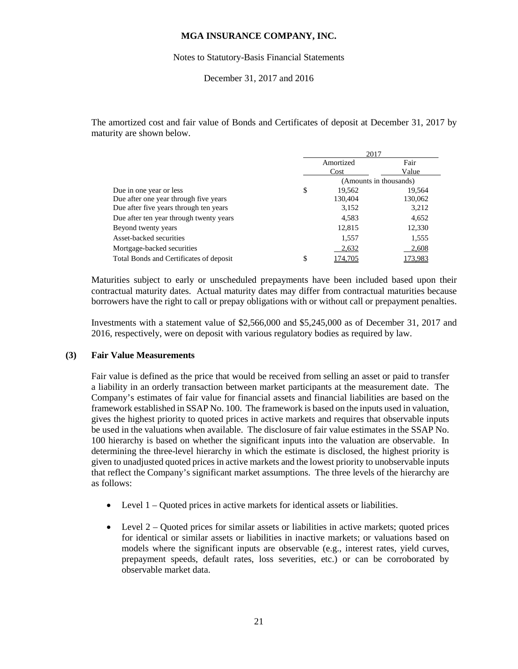Notes to Statutory-Basis Financial Statements

### December 31, 2017 and 2016

The amortized cost and fair value of Bonds and Certificates of deposit at December 31, 2017 by maturity are shown below.

|                                         | 2017 |                        |         |  |  |
|-----------------------------------------|------|------------------------|---------|--|--|
|                                         |      | Fair                   |         |  |  |
|                                         |      | Value                  |         |  |  |
|                                         |      | (Amounts in thousands) |         |  |  |
| Due in one year or less                 | \$   | 19,562                 | 19,564  |  |  |
| Due after one year through five years   |      | 130,404                | 130,062 |  |  |
| Due after five years through ten years  |      | 3,152                  | 3,212   |  |  |
| Due after ten year through twenty years |      | 4,583                  | 4,652   |  |  |
| Beyond twenty years                     |      | 12,815                 | 12,330  |  |  |
| Asset-backed securities                 |      | 1,557                  | 1,555   |  |  |
| Mortgage-backed securities              |      | 2,632                  | 2,608   |  |  |
| Total Bonds and Certificates of deposit | \$   | 174.705                | 173,983 |  |  |

Maturities subject to early or unscheduled prepayments have been included based upon their contractual maturity dates. Actual maturity dates may differ from contractual maturities because borrowers have the right to call or prepay obligations with or without call or prepayment penalties.

Investments with a statement value of \$2,566,000 and \$5,245,000 as of December 31, 2017 and 2016, respectively, were on deposit with various regulatory bodies as required by law.

#### **(3) Fair Value Measurements**

Fair value is defined as the price that would be received from selling an asset or paid to transfer a liability in an orderly transaction between market participants at the measurement date. The Company's estimates of fair value for financial assets and financial liabilities are based on the framework established in SSAP No. 100. The framework is based on the inputs used in valuation, gives the highest priority to quoted prices in active markets and requires that observable inputs be used in the valuations when available. The disclosure of fair value estimates in the SSAP No. 100 hierarchy is based on whether the significant inputs into the valuation are observable. In determining the three-level hierarchy in which the estimate is disclosed, the highest priority is given to unadjusted quoted prices in active markets and the lowest priority to unobservable inputs that reflect the Company's significant market assumptions. The three levels of the hierarchy are as follows:

- Level 1 Quoted prices in active markets for identical assets or liabilities.
- Level 2 Quoted prices for similar assets or liabilities in active markets; quoted prices for identical or similar assets or liabilities in inactive markets; or valuations based on models where the significant inputs are observable (e.g., interest rates, yield curves, prepayment speeds, default rates, loss severities, etc.) or can be corroborated by observable market data.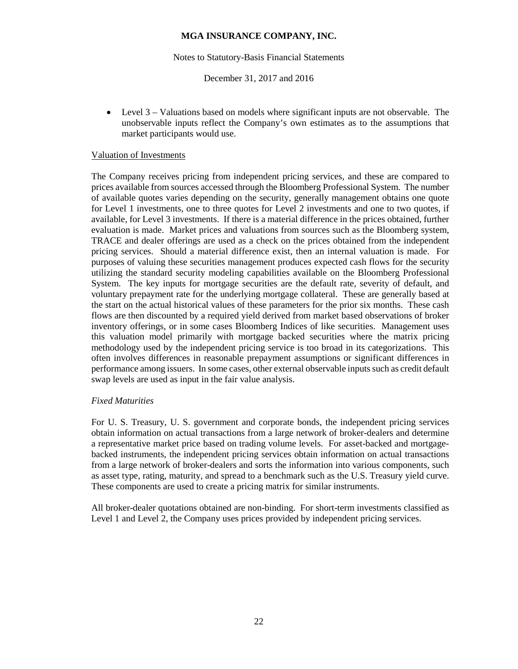Notes to Statutory-Basis Financial Statements

December 31, 2017 and 2016

• Level 3 – Valuations based on models where significant inputs are not observable. The unobservable inputs reflect the Company's own estimates as to the assumptions that market participants would use.

### Valuation of Investments

The Company receives pricing from independent pricing services, and these are compared to prices available from sources accessed through the Bloomberg Professional System. The number of available quotes varies depending on the security, generally management obtains one quote for Level 1 investments, one to three quotes for Level 2 investments and one to two quotes, if available, for Level 3 investments. If there is a material difference in the prices obtained, further evaluation is made. Market prices and valuations from sources such as the Bloomberg system, TRACE and dealer offerings are used as a check on the prices obtained from the independent pricing services. Should a material difference exist, then an internal valuation is made. For purposes of valuing these securities management produces expected cash flows for the security utilizing the standard security modeling capabilities available on the Bloomberg Professional System. The key inputs for mortgage securities are the default rate, severity of default, and voluntary prepayment rate for the underlying mortgage collateral. These are generally based at the start on the actual historical values of these parameters for the prior six months. These cash flows are then discounted by a required yield derived from market based observations of broker inventory offerings, or in some cases Bloomberg Indices of like securities. Management uses this valuation model primarily with mortgage backed securities where the matrix pricing methodology used by the independent pricing service is too broad in its categorizations. This often involves differences in reasonable prepayment assumptions or significant differences in performance among issuers. In some cases, other external observable inputs such as credit default swap levels are used as input in the fair value analysis.

### *Fixed Maturities*

For U. S. Treasury, U. S. government and corporate bonds, the independent pricing services obtain information on actual transactions from a large network of broker-dealers and determine a representative market price based on trading volume levels. For asset-backed and mortgagebacked instruments, the independent pricing services obtain information on actual transactions from a large network of broker-dealers and sorts the information into various components, such as asset type, rating, maturity, and spread to a benchmark such as the U.S. Treasury yield curve. These components are used to create a pricing matrix for similar instruments.

All broker-dealer quotations obtained are non-binding. For short-term investments classified as Level 1 and Level 2, the Company uses prices provided by independent pricing services.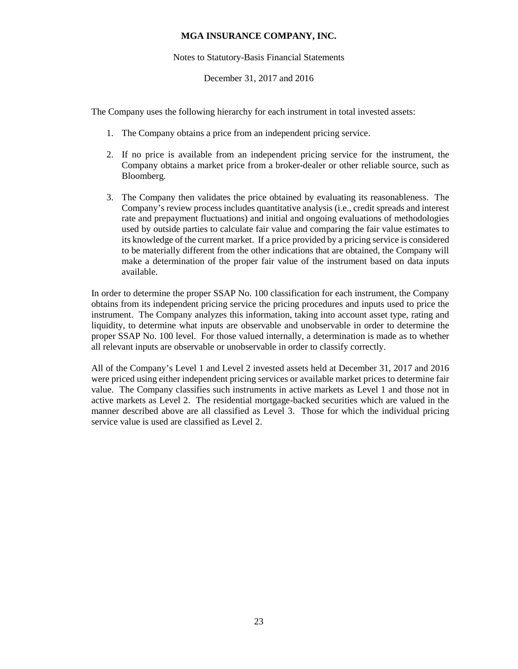Notes to Statutory-Basis Financial Statements

December 31, 2017 and 2016

The Company uses the following hierarchy for each instrument in total invested assets:

- 1. The Company obtains a price from an independent pricing service.
- 2. If no price is available from an independent pricing service for the instrument, the Company obtains a market price from a broker-dealer or other reliable source, such as Bloomberg.
- 3. The Company then validates the price obtained by evaluating its reasonableness. The Company's review process includes quantitative analysis (i.e., credit spreads and interest rate and prepayment fluctuations) and initial and ongoing evaluations of methodologies used by outside parties to calculate fair value and comparing the fair value estimates to its knowledge of the current market. If a price provided by a pricing service is considered to be materially different from the other indications that are obtained, the Company will make a determination of the proper fair value of the instrument based on data inputs available.

In order to determine the proper SSAP No. 100 classification for each instrument, the Company obtains from its independent pricing service the pricing procedures and inputs used to price the instrument. The Company analyzes this information, taking into account asset type, rating and liquidity, to determine what inputs are observable and unobservable in order to determine the proper SSAP No. 100 level. For those valued internally, a determination is made as to whether all relevant inputs are observable or unobservable in order to classify correctly.

All of the Company's Level 1 and Level 2 invested assets held at December 31, 2017 and 2016 were priced using either independent pricing services or available market prices to determine fair value. The Company classifies such instruments in active markets as Level 1 and those not in active markets as Level 2. The residential mortgage-backed securities which are valued in the manner described above are all classified as Level 3. Those for which the individual pricing service value is used are classified as Level 2.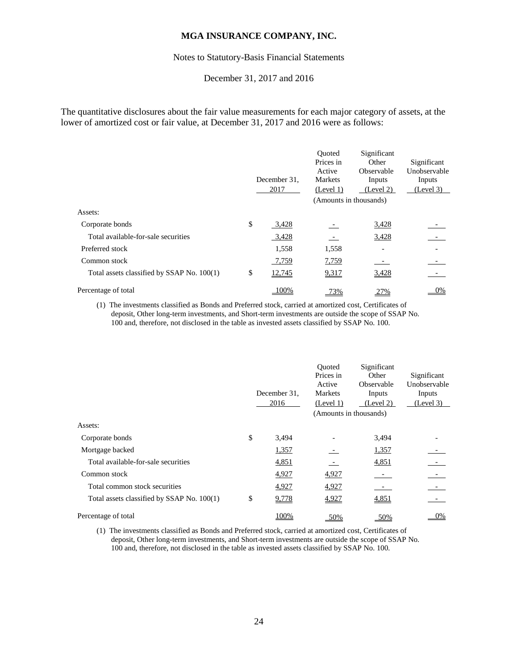#### Notes to Statutory-Basis Financial Statements

### December 31, 2017 and 2016

The quantitative disclosures about the fair value measurements for each major category of assets, at the lower of amortized cost or fair value, at December 31, 2017 and 2016 were as follows:

|                                            | December 31,<br>2017 | Ouoted<br>Prices in<br>Active<br>Markets<br>(Level 1)<br>(Amounts in thousands) | Significant<br>Other<br>Observable<br>Inputs<br>(Level 2) | Significant<br>Unobservable<br>Inputs<br>(Level 3) |
|--------------------------------------------|----------------------|---------------------------------------------------------------------------------|-----------------------------------------------------------|----------------------------------------------------|
| Assets:                                    |                      |                                                                                 |                                                           |                                                    |
| Corporate bonds                            | \$<br>3,428          |                                                                                 | 3,428                                                     |                                                    |
| Total available-for-sale securities        | 3,428                |                                                                                 | 3,428                                                     | $\frac{1}{2}$                                      |
| Preferred stock                            | 1,558                | 1,558                                                                           |                                                           |                                                    |
| Common stock                               | 7,759                | 7,759                                                                           |                                                           |                                                    |
| Total assets classified by SSAP No. 100(1) | \$<br><u>12,745</u>  | 9,317                                                                           | 3,428                                                     |                                                    |
| Percentage of total                        | 100%                 | 73%                                                                             | 27%                                                       | 0%                                                 |

(1) The investments classified as Bonds and Preferred stock, carried at amortized cost, Certificates of deposit, Other long-term investments, and Short-term investments are outside the scope of SSAP No. 100 and, therefore, not disclosed in the table as invested assets classified by SSAP No. 100.

|                                            | December 31,<br>2016 | Ouoted<br>Prices in<br>Active<br>Markets<br>(Level 1)<br>(Amounts in thousands) | Significant<br>Other<br>Observable<br>Inputs<br>(Level 2) | Significant<br>Unobservable<br>Inputs<br>(Level 3) |
|--------------------------------------------|----------------------|---------------------------------------------------------------------------------|-----------------------------------------------------------|----------------------------------------------------|
| Assets:                                    |                      |                                                                                 |                                                           |                                                    |
| Corporate bonds                            | \$<br>3,494          |                                                                                 | 3,494                                                     |                                                    |
| Mortgage backed                            | 1,357                |                                                                                 | 1,357                                                     |                                                    |
| Total available-for-sale securities        | 4,851                |                                                                                 | 4,851                                                     | $\sim$                                             |
| Common stock                               | 4,927                | 4,927                                                                           |                                                           | $\sim$ $-$                                         |
| Total common stock securities              | 4,927                | 4,927                                                                           |                                                           | $\sim$                                             |
| Total assets classified by SSAP No. 100(1) | \$<br>9,778          | 4,927                                                                           | 4,851                                                     |                                                    |
| Percentage of total                        | 100%                 | 50%                                                                             | 50%                                                       | 0%                                                 |

(1) The investments classified as Bonds and Preferred stock, carried at amortized cost, Certificates of deposit, Other long-term investments, and Short-term investments are outside the scope of SSAP No. 100 and, therefore, not disclosed in the table as invested assets classified by SSAP No. 100.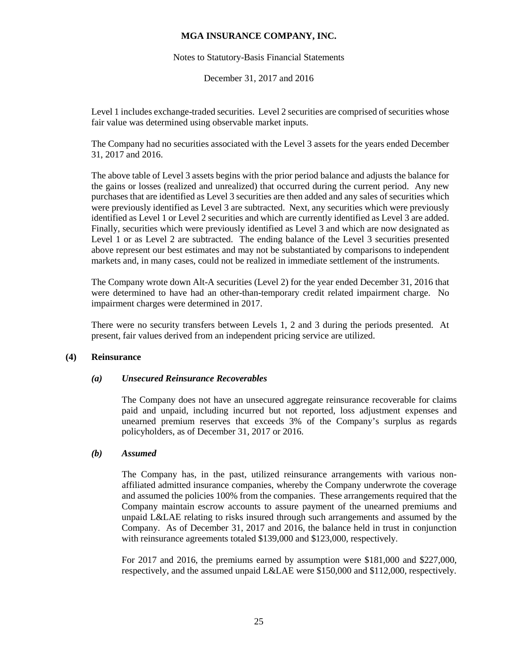Notes to Statutory-Basis Financial Statements

December 31, 2017 and 2016

Level 1 includes exchange-traded securities. Level 2 securities are comprised of securities whose fair value was determined using observable market inputs.

The Company had no securities associated with the Level 3 assets for the years ended December 31, 2017 and 2016.

The above table of Level 3 assets begins with the prior period balance and adjusts the balance for the gains or losses (realized and unrealized) that occurred during the current period. Any new purchases that are identified as Level 3 securities are then added and any sales of securities which were previously identified as Level 3 are subtracted. Next, any securities which were previously identified as Level 1 or Level 2 securities and which are currently identified as Level 3 are added. Finally, securities which were previously identified as Level 3 and which are now designated as Level 1 or as Level 2 are subtracted. The ending balance of the Level 3 securities presented above represent our best estimates and may not be substantiated by comparisons to independent markets and, in many cases, could not be realized in immediate settlement of the instruments.

The Company wrote down Alt-A securities (Level 2) for the year ended December 31, 2016 that were determined to have had an other-than-temporary credit related impairment charge. No impairment charges were determined in 2017.

There were no security transfers between Levels 1, 2 and 3 during the periods presented. At present, fair values derived from an independent pricing service are utilized.

### **(4) Reinsurance**

### *(a) Unsecured Reinsurance Recoverables*

The Company does not have an unsecured aggregate reinsurance recoverable for claims paid and unpaid, including incurred but not reported, loss adjustment expenses and unearned premium reserves that exceeds 3% of the Company's surplus as regards policyholders, as of December 31, 2017 or 2016.

#### *(b) Assumed*

The Company has, in the past, utilized reinsurance arrangements with various nonaffiliated admitted insurance companies, whereby the Company underwrote the coverage and assumed the policies 100% from the companies. These arrangements required that the Company maintain escrow accounts to assure payment of the unearned premiums and unpaid L&LAE relating to risks insured through such arrangements and assumed by the Company. As of December 31, 2017 and 2016, the balance held in trust in conjunction with reinsurance agreements totaled \$139,000 and \$123,000, respectively.

For 2017 and 2016, the premiums earned by assumption were \$181,000 and \$227,000, respectively, and the assumed unpaid L&LAE were \$150,000 and \$112,000, respectively.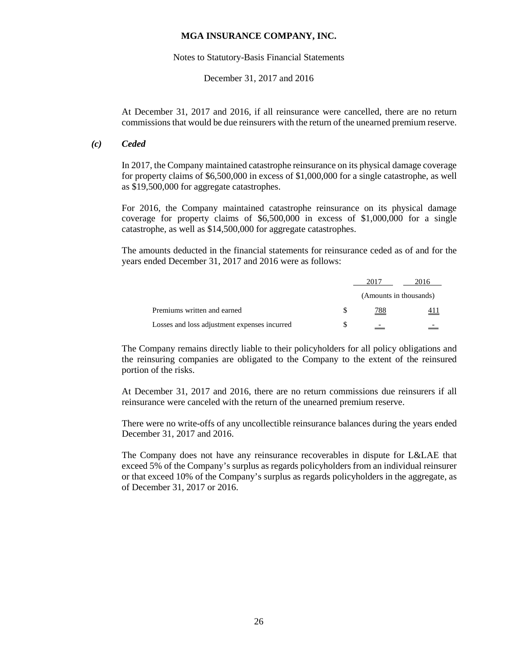Notes to Statutory-Basis Financial Statements

December 31, 2017 and 2016

At December 31, 2017 and 2016, if all reinsurance were cancelled, there are no return commissions that would be due reinsurers with the return of the unearned premium reserve.

### *(c) Ceded*

In 2017, the Company maintained catastrophe reinsurance on its physical damage coverage for property claims of \$6,500,000 in excess of \$1,000,000 for a single catastrophe, as well as \$19,500,000 for aggregate catastrophes.

For 2016, the Company maintained catastrophe reinsurance on its physical damage coverage for property claims of \$6,500,000 in excess of \$1,000,000 for a single catastrophe, as well as \$14,500,000 for aggregate catastrophes.

The amounts deducted in the financial statements for reinsurance ceded as of and for the years ended December 31, 2017 and 2016 were as follows:

|                                              | 2017                   | 2016 |
|----------------------------------------------|------------------------|------|
|                                              | (Amounts in thousands) |      |
| Premiums written and earned                  | 788                    | 411  |
| Losses and loss adjustment expenses incurred |                        |      |

The Company remains directly liable to their policyholders for all policy obligations and the reinsuring companies are obligated to the Company to the extent of the reinsured portion of the risks.

At December 31, 2017 and 2016, there are no return commissions due reinsurers if all reinsurance were canceled with the return of the unearned premium reserve.

There were no write-offs of any uncollectible reinsurance balances during the years ended December 31, 2017 and 2016.

The Company does not have any reinsurance recoverables in dispute for L&LAE that exceed 5% of the Company's surplus as regards policyholders from an individual reinsurer or that exceed 10% of the Company's surplus as regards policyholders in the aggregate, as of December 31, 2017 or 2016.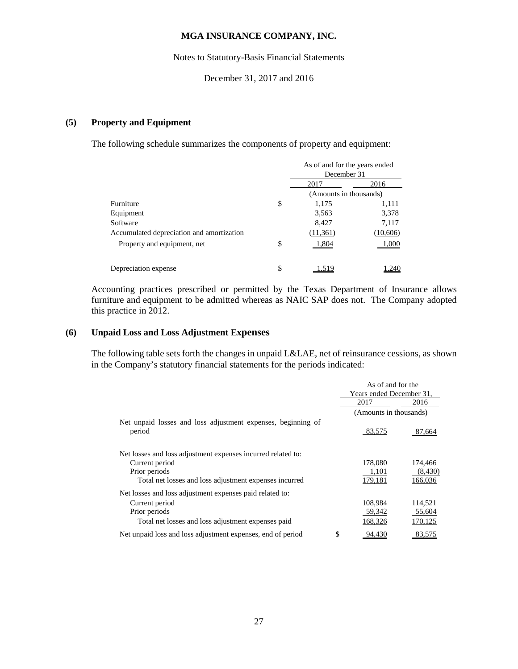Notes to Statutory-Basis Financial Statements

December 31, 2017 and 2016

## **(5) Property and Equipment**

The following schedule summarizes the components of property and equipment:

|                                           | As of and for the years ended |          |  |
|-------------------------------------------|-------------------------------|----------|--|
|                                           | December 31                   |          |  |
|                                           | 2017                          | 2016     |  |
|                                           | (Amounts in thousands)        |          |  |
| Furniture                                 | \$<br>1,175                   | 1,111    |  |
| Equipment                                 | 3,563                         | 3,378    |  |
| Software                                  | 8,427                         | 7,117    |  |
| Accumulated depreciation and amortization | (11, 361)                     | (10,606) |  |
| Property and equipment, net               | \$<br>.804                    | .000     |  |
| Depreciation expense                      | \$                            | 240      |  |

Accounting practices prescribed or permitted by the Texas Department of Insurance allows furniture and equipment to be admitted whereas as NAIC SAP does not. The Company adopted this practice in 2012.

#### **(6) Unpaid Loss and Loss Adjustment Expenses**

The following table sets forth the changes in unpaid L&LAE, net of reinsurance cessions, as shown in the Company's statutory financial statements for the periods indicated:

|                                                              | As of and for the        |          |
|--------------------------------------------------------------|--------------------------|----------|
|                                                              | Years ended December 31, |          |
|                                                              | 2017                     | 2016     |
|                                                              | (Amounts in thousands)   |          |
| Net unpaid losses and loss adjustment expenses, beginning of |                          |          |
| period                                                       | 83,575                   | 87,664   |
|                                                              |                          |          |
| Net losses and loss adjustment expenses incurred related to: |                          |          |
| Current period                                               | 178,080                  | 174,466  |
| Prior periods                                                | 1,101                    | (8, 430) |
| Total net losses and loss adjustment expenses incurred       | 179,181                  | 166,036  |
| Net losses and loss adjustment expenses paid related to:     |                          |          |
| Current period                                               | 108,984                  | 114,521  |
| Prior periods                                                | 59,342                   | 55,604   |
| Total net losses and loss adjustment expenses paid           | 168,326                  | 170,125  |
| Net unpaid loss and loss adjustment expenses, end of period  | \$<br>94,430             | 83,575   |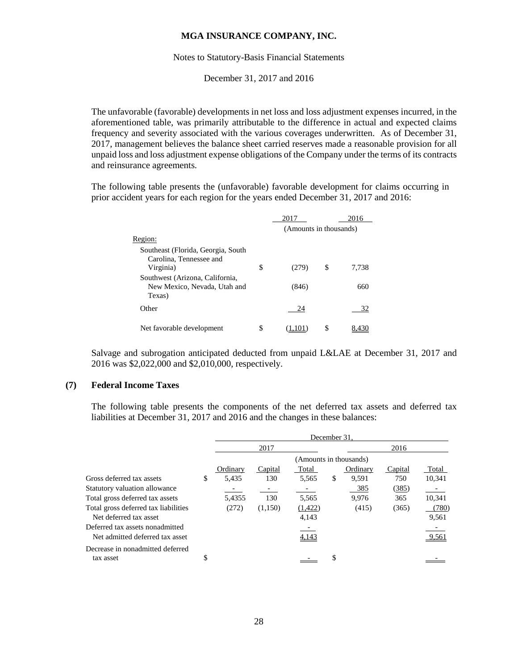#### Notes to Statutory-Basis Financial Statements

December 31, 2017 and 2016

The unfavorable (favorable) developments in net loss and loss adjustment expenses incurred, in the aforementioned table, was primarily attributable to the difference in actual and expected claims frequency and severity associated with the various coverages underwritten. As of December 31, 2017, management believes the balance sheet carried reserves made a reasonable provision for all unpaid loss and loss adjustment expense obligations of the Company under the terms of its contracts and reinsurance agreements.

The following table presents the (unfavorable) favorable development for claims occurring in prior accident years for each region for the years ended December 31, 2017 and 2016:

|                                                                           |    | 2017                   |    | 2016  |  |
|---------------------------------------------------------------------------|----|------------------------|----|-------|--|
|                                                                           |    | (Amounts in thousands) |    |       |  |
| Region:                                                                   |    |                        |    |       |  |
| Southeast (Florida, Georgia, South<br>Carolina, Tennessee and             |    |                        |    |       |  |
| Virginia)                                                                 | \$ | (279)                  | \$ | 7.738 |  |
| Southwest (Arizona, California,<br>New Mexico, Nevada, Utah and<br>Texas) |    | (846)                  |    | 660   |  |
| Other                                                                     |    | 24                     |    | 32    |  |
|                                                                           |    |                        |    |       |  |
| Net favorable development                                                 | S  |                        | S. |       |  |

Salvage and subrogation anticipated deducted from unpaid L&LAE at December 31, 2017 and 2016 was \$2,022,000 and \$2,010,000, respectively.

### **(7) Federal Income Taxes**

The following table presents the components of the net deferred tax assets and deferred tax liabilities at December 31, 2017 and 2016 and the changes in these balances:

|                                                                    |             |         | December 31.           |     |            |         |                |
|--------------------------------------------------------------------|-------------|---------|------------------------|-----|------------|---------|----------------|
|                                                                    |             | 2017    |                        |     |            | 2016    |                |
|                                                                    |             |         | (Amounts in thousands) |     |            |         |                |
|                                                                    | Ordinary    | Capital | Total                  |     | Ordinary   | Capital | Total          |
| Gross deferred tax assets                                          | \$<br>5,435 | 130     | 5,565                  | \$. | 9,591      | 750     | 10,341         |
| Statutory valuation allowance                                      |             |         |                        |     | <u>385</u> | (385)   |                |
| Total gross deferred tax assets                                    | 5,4355      | 130     | 5,565                  |     | 9,976      | 365     | 10,341         |
| Total gross deferred tax liabilities<br>Net deferred tax asset     | (272)       | (1,150) | (1,422)<br>4,143       |     | (415)      | (365)   | (780)<br>9,561 |
| Deferred tax assets nonadmitted<br>Net admitted deferred tax asset |             |         | 4,143                  |     |            |         | 9,561          |
| Decrease in nonadmitted deferred<br>tax asset                      | \$          |         |                        | J.  |            |         |                |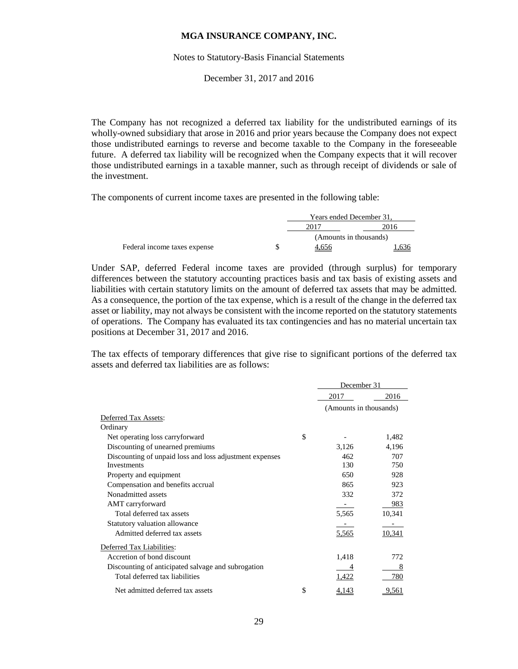#### Notes to Statutory-Basis Financial Statements

December 31, 2017 and 2016

The Company has not recognized a deferred tax liability for the undistributed earnings of its wholly-owned subsidiary that arose in 2016 and prior years because the Company does not expect those undistributed earnings to reverse and become taxable to the Company in the foreseeable future. A deferred tax liability will be recognized when the Company expects that it will recover those undistributed earnings in a taxable manner, such as through receipt of dividends or sale of the investment.

The components of current income taxes are presented in the following table:

|                              | Years ended December 31. |      |  |
|------------------------------|--------------------------|------|--|
|                              | 2017                     | 2016 |  |
|                              | (Amounts in thousands)   |      |  |
| Federal income taxes expense | 4,656                    | .636 |  |

Under SAP, deferred Federal income taxes are provided (through surplus) for temporary differences between the statutory accounting practices basis and tax basis of existing assets and liabilities with certain statutory limits on the amount of deferred tax assets that may be admitted. As a consequence, the portion of the tax expense, which is a result of the change in the deferred tax asset or liability, may not always be consistent with the income reported on the statutory statements of operations. The Company has evaluated its tax contingencies and has no material uncertain tax positions at December 31, 2017 and 2016.

The tax effects of temporary differences that give rise to significant portions of the deferred tax assets and deferred tax liabilities are as follows:

|                                                         | December 31            |        |  |
|---------------------------------------------------------|------------------------|--------|--|
|                                                         | 2017                   | 2016   |  |
|                                                         | (Amounts in thousands) |        |  |
| Deferred Tax Assets:                                    |                        |        |  |
| Ordinary                                                |                        |        |  |
| Net operating loss carryforward                         | \$                     | 1,482  |  |
| Discounting of unearned premiums                        | 3,126                  | 4,196  |  |
| Discounting of unpaid loss and loss adjustment expenses | 462                    | 707    |  |
| <b>Investments</b>                                      | 130                    | 750    |  |
| Property and equipment                                  | 650                    | 928    |  |
| Compensation and benefits accrual                       | 865                    | 923    |  |
| Nonadmitted assets                                      | 332                    | 372    |  |
| AMT carryforward                                        |                        | 983    |  |
| Total deferred tax assets                               | 5,565                  | 10,341 |  |
| Statutory valuation allowance                           |                        |        |  |
| Admitted deferred tax assets                            | 5,565                  | 10,341 |  |
| Deferred Tax Liabilities:                               |                        |        |  |
| Accretion of bond discount                              | 1,418                  | 772    |  |
| Discounting of anticipated salvage and subrogation      |                        | 8      |  |
| Total deferred tax liabilities                          | 1,422                  | 780    |  |
| Net admitted deferred tax assets                        | \$<br>4,143            | 9,561  |  |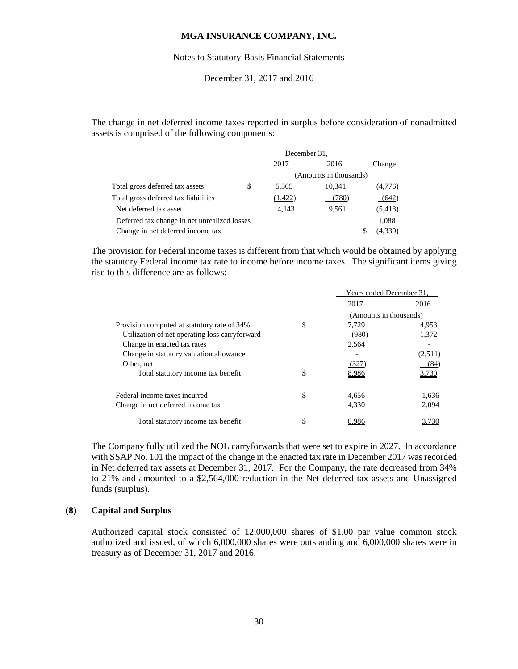Notes to Statutory-Basis Financial Statements

December 31, 2017 and 2016

The change in net deferred income taxes reported in surplus before consideration of nonadmitted assets is comprised of the following components:

|                                              | December 31, |                        |   |         |
|----------------------------------------------|--------------|------------------------|---|---------|
|                                              | 2017         | 2016                   |   | Change  |
|                                              |              | (Amounts in thousands) |   |         |
| Total gross deferred tax assets              | \$<br>5,565  | 10.341                 |   | (4,776) |
| Total gross deferred tax liabilities         | (1,422)      | (780)                  |   | (642)   |
| Net deferred tax asset                       | 4.143        | 9.561                  |   | (5,418) |
| Deferred tax change in net unrealized losses |              |                        |   | 1,088   |
| Change in net deferred income tax            |              |                        | S | (4.330) |

The provision for Federal income taxes is different from that which would be obtained by applying the statutory Federal income tax rate to income before income taxes. The significant items giving rise to this difference are as follows:

|                                                |                        | Years ended December 31, |  |  |
|------------------------------------------------|------------------------|--------------------------|--|--|
|                                                | 2017                   | 2016                     |  |  |
|                                                | (Amounts in thousands) |                          |  |  |
| Provision computed at statutory rate of 34%    | \$<br>7.729            | 4,953                    |  |  |
| Utilization of net operating loss carryforward | (980)                  | 1,372                    |  |  |
| Change in enacted tax rates                    | 2,564                  |                          |  |  |
| Change in statutory valuation allowance        |                        | (2,511)                  |  |  |
| Other, net                                     | (327)                  | (84)                     |  |  |
| Total statutory income tax benefit             | \$<br>8,986            | 3,730                    |  |  |
| Federal income taxes incurred                  | \$<br>4,656            | 1,636                    |  |  |
| Change in net deferred income tax              | 4,330                  | 2,094                    |  |  |
| Total statutory income tax benefit             | 8,986                  | 3,730                    |  |  |

The Company fully utilized the NOL carryforwards that were set to expire in 2027. In accordance with SSAP No. 101 the impact of the change in the enacted tax rate in December 2017 was recorded in Net deferred tax assets at December 31, 2017. For the Company, the rate decreased from 34% to 21% and amounted to a \$2,564,000 reduction in the Net deferred tax assets and Unassigned funds (surplus).

### **(8) Capital and Surplus**

Authorized capital stock consisted of 12,000,000 shares of \$1.00 par value common stock authorized and issued, of which 6,000,000 shares were outstanding and 6,000,000 shares were in treasury as of December 31, 2017 and 2016.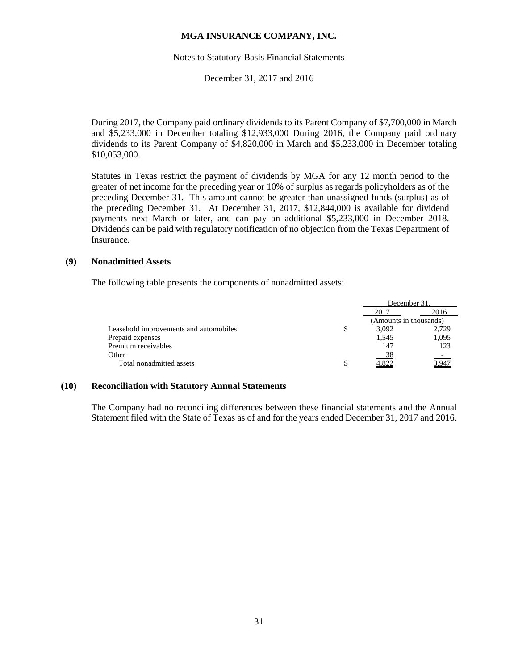#### Notes to Statutory-Basis Financial Statements

December 31, 2017 and 2016

During 2017, the Company paid ordinary dividends to its Parent Company of \$7,700,000 in March and \$5,233,000 in December totaling \$12,933,000 During 2016, the Company paid ordinary dividends to its Parent Company of \$4,820,000 in March and \$5,233,000 in December totaling \$10,053,000.

Statutes in Texas restrict the payment of dividends by MGA for any 12 month period to the greater of net income for the preceding year or 10% of surplus as regards policyholders as of the preceding December 31. This amount cannot be greater than unassigned funds (surplus) as of the preceding December 31. At December 31, 2017, \$12,844,000 is available for dividend payments next March or later, and can pay an additional \$5,233,000 in December 2018. Dividends can be paid with regulatory notification of no objection from the Texas Department of Insurance.

### **(9) Nonadmitted Assets**

The following table presents the components of nonadmitted assets:

|                                        | December 31            |        |
|----------------------------------------|------------------------|--------|
|                                        | 2017                   | 2016   |
|                                        | (Amounts in thousands) |        |
| Leasehold improvements and automobiles | \$<br>3.092            | 2,729  |
| Prepaid expenses                       | 1.545                  | 1,095  |
| Premium receivables                    | 147                    | 123    |
| Other                                  | $-38$                  | $\sim$ |
| Total nonadmitted assets               | 4.822                  | 3 947  |

#### **(10) Reconciliation with Statutory Annual Statements**

The Company had no reconciling differences between these financial statements and the Annual Statement filed with the State of Texas as of and for the years ended December 31, 2017 and 2016.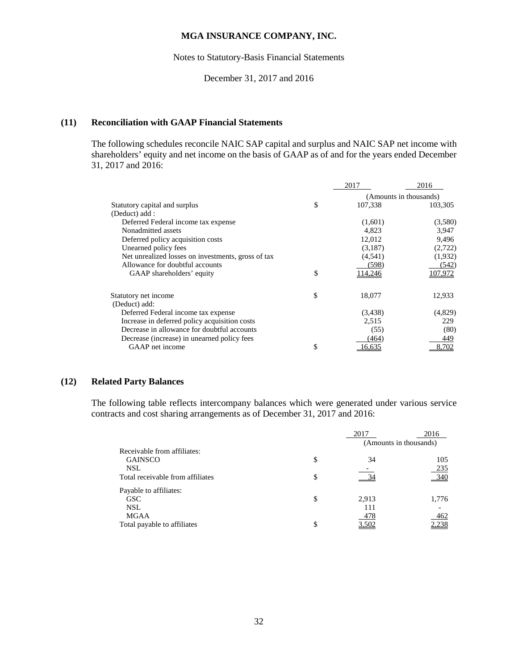Notes to Statutory-Basis Financial Statements

December 31, 2017 and 2016

## **(11) Reconciliation with GAAP Financial Statements**

The following schedules reconcile NAIC SAP capital and surplus and NAIC SAP net income with shareholders' equity and net income on the basis of GAAP as of and for the years ended December 31, 2017 and 2016:

|                                                                                      | 2017          | 2016                   |
|--------------------------------------------------------------------------------------|---------------|------------------------|
|                                                                                      |               | (Amounts in thousands) |
| Statutory capital and surplus                                                        | \$<br>107,338 | 103,305                |
| (Deduct) add:                                                                        |               |                        |
| Deferred Federal income tax expense                                                  | (1,601)       | (3,580)                |
| Nonadmitted assets                                                                   | 4.823         | 3.947                  |
| Deferred policy acquisition costs                                                    | 12.012        | 9,496                  |
| Unearned policy fees                                                                 | (3,187)       | (2,722)                |
| Net unrealized losses on investments, gross of tax                                   | (4, 541)      | (1,932)                |
| Allowance for doubtful accounts                                                      | (598)         | (542)                  |
| GAAP shareholders' equity                                                            | \$<br>114.246 | 107,972                |
| Statutory net income                                                                 | \$<br>18,077  | 12,933                 |
| (Deduct) add:                                                                        | (3,438)       |                        |
| Deferred Federal income tax expense<br>Increase in deferred policy acquisition costs | 2,515         | (4,829)<br>229         |
| Decrease in allowance for doubtful accounts                                          | (55)          |                        |
|                                                                                      |               | (80)                   |
| Decrease (increase) in unearned policy fees<br>GAAP net income                       | (464)         | 449                    |
|                                                                                      | \$<br>6.63.   | 702                    |

## **(12) Related Party Balances**

The following table reflects intercompany balances which were generated under various service contracts and cost sharing arrangements as of December 31, 2017 and 2016:

|                                  | 2017                   | 2016  |
|----------------------------------|------------------------|-------|
|                                  | (Amounts in thousands) |       |
| Receivable from affiliates:      |                        |       |
| <b>GAINSCO</b>                   | \$<br>34               | 105   |
| <b>NSL</b>                       |                        | 235   |
| Total receivable from affiliates | \$                     | 340   |
| Payable to affiliates:           |                        |       |
| <b>GSC</b>                       | \$<br>2,913            | 1,776 |
| <b>NSL</b>                       | 111                    |       |
| MGAA                             | 478                    | 462   |
| Total payable to affiliates      | \$                     |       |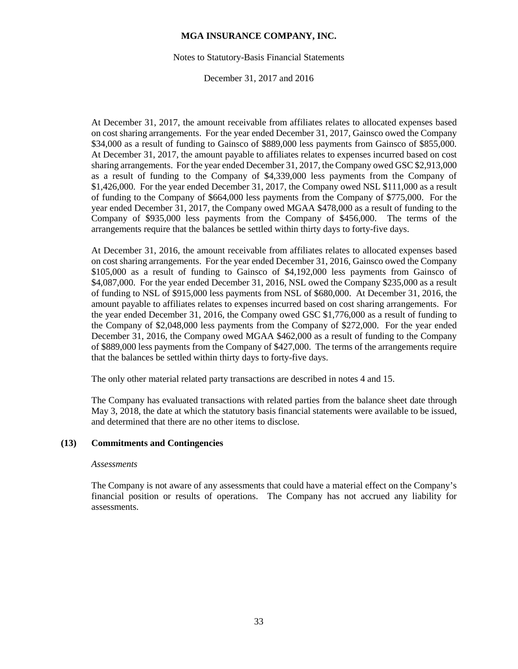#### Notes to Statutory-Basis Financial Statements

### December 31, 2017 and 2016

At December 31, 2017, the amount receivable from affiliates relates to allocated expenses based on cost sharing arrangements. For the year ended December 31, 2017, Gainsco owed the Company \$34,000 as a result of funding to Gainsco of \$889,000 less payments from Gainsco of \$855,000. At December 31, 2017, the amount payable to affiliates relates to expenses incurred based on cost sharing arrangements. For the year ended December 31, 2017, the Company owed GSC \$2,913,000 as a result of funding to the Company of \$4,339,000 less payments from the Company of \$1,426,000. For the year ended December 31, 2017, the Company owed NSL \$111,000 as a result of funding to the Company of \$664,000 less payments from the Company of \$775,000. For the year ended December 31, 2017, the Company owed MGAA \$478,000 as a result of funding to the Company of \$935,000 less payments from the Company of \$456,000. The terms of the arrangements require that the balances be settled within thirty days to forty-five days.

At December 31, 2016, the amount receivable from affiliates relates to allocated expenses based on cost sharing arrangements. For the year ended December 31, 2016, Gainsco owed the Company \$105,000 as a result of funding to Gainsco of \$4,192,000 less payments from Gainsco of \$4,087,000. For the year ended December 31, 2016, NSL owed the Company \$235,000 as a result of funding to NSL of \$915,000 less payments from NSL of \$680,000. At December 31, 2016, the amount payable to affiliates relates to expenses incurred based on cost sharing arrangements. For the year ended December 31, 2016, the Company owed GSC \$1,776,000 as a result of funding to the Company of \$2,048,000 less payments from the Company of \$272,000. For the year ended December 31, 2016, the Company owed MGAA \$462,000 as a result of funding to the Company of \$889,000 less payments from the Company of \$427,000. The terms of the arrangements require that the balances be settled within thirty days to forty-five days.

The only other material related party transactions are described in notes 4 and 15.

The Company has evaluated transactions with related parties from the balance sheet date through May 3, 2018, the date at which the statutory basis financial statements were available to be issued, and determined that there are no other items to disclose.

### **(13) Commitments and Contingencies**

#### *Assessments*

The Company is not aware of any assessments that could have a material effect on the Company's financial position or results of operations. The Company has not accrued any liability for assessments.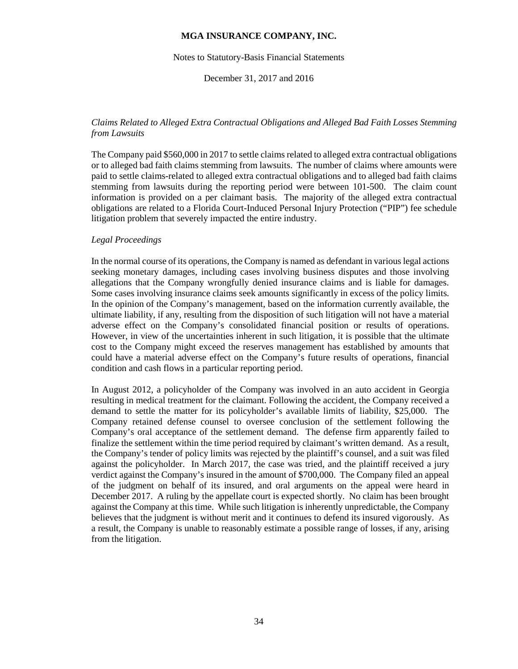Notes to Statutory-Basis Financial Statements

December 31, 2017 and 2016

## *Claims Related to Alleged Extra Contractual Obligations and Alleged Bad Faith Losses Stemming from Lawsuits*

The Company paid \$560,000 in 2017 to settle claims related to alleged extra contractual obligations or to alleged bad faith claims stemming from lawsuits. The number of claims where amounts were paid to settle claims-related to alleged extra contractual obligations and to alleged bad faith claims stemming from lawsuits during the reporting period were between 101-500. The claim count information is provided on a per claimant basis. The majority of the alleged extra contractual obligations are related to a Florida Court-Induced Personal Injury Protection ("PIP") fee schedule litigation problem that severely impacted the entire industry.

### *Legal Proceedings*

In the normal course of its operations, the Company is named as defendant in various legal actions seeking monetary damages, including cases involving business disputes and those involving allegations that the Company wrongfully denied insurance claims and is liable for damages. Some cases involving insurance claims seek amounts significantly in excess of the policy limits. In the opinion of the Company's management, based on the information currently available, the ultimate liability, if any, resulting from the disposition of such litigation will not have a material adverse effect on the Company's consolidated financial position or results of operations. However, in view of the uncertainties inherent in such litigation, it is possible that the ultimate cost to the Company might exceed the reserves management has established by amounts that could have a material adverse effect on the Company's future results of operations, financial condition and cash flows in a particular reporting period.

In August 2012, a policyholder of the Company was involved in an auto accident in Georgia resulting in medical treatment for the claimant. Following the accident, the Company received a demand to settle the matter for its policyholder's available limits of liability, \$25,000. The Company retained defense counsel to oversee conclusion of the settlement following the Company's oral acceptance of the settlement demand. The defense firm apparently failed to finalize the settlement within the time period required by claimant's written demand. As a result, the Company's tender of policy limits was rejected by the plaintiff's counsel, and a suit was filed against the policyholder. In March 2017, the case was tried, and the plaintiff received a jury verdict against the Company's insured in the amount of \$700,000. The Company filed an appeal of the judgment on behalf of its insured, and oral arguments on the appeal were heard in December 2017. A ruling by the appellate court is expected shortly. No claim has been brought against the Company at this time. While such litigation is inherently unpredictable, the Company believes that the judgment is without merit and it continues to defend its insured vigorously. As a result, the Company is unable to reasonably estimate a possible range of losses, if any, arising from the litigation.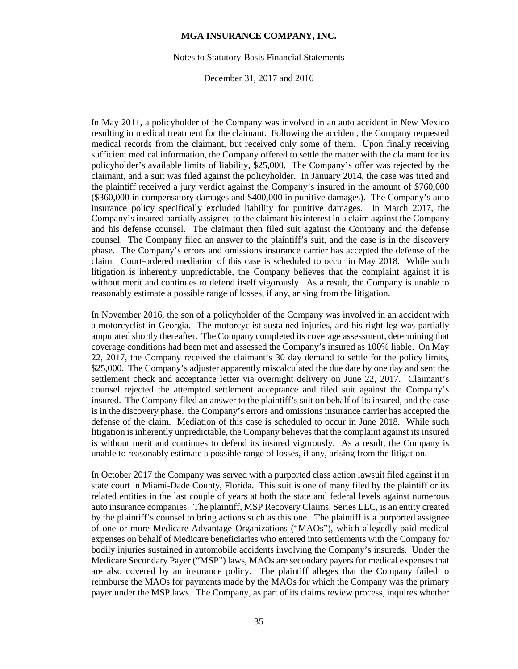Notes to Statutory-Basis Financial Statements

December 31, 2017 and 2016

In May 2011, a policyholder of the Company was involved in an auto accident in New Mexico resulting in medical treatment for the claimant. Following the accident, the Company requested medical records from the claimant, but received only some of them. Upon finally receiving sufficient medical information, the Company offered to settle the matter with the claimant for its policyholder's available limits of liability, \$25,000. The Company's offer was rejected by the claimant, and a suit was filed against the policyholder. In January 2014, the case was tried and the plaintiff received a jury verdict against the Company's insured in the amount of \$760,000 (\$360,000 in compensatory damages and \$400,000 in punitive damages). The Company's auto insurance policy specifically excluded liability for punitive damages. In March 2017, the Company's insured partially assigned to the claimant his interest in a claim against the Company and his defense counsel. The claimant then filed suit against the Company and the defense counsel. The Company filed an answer to the plaintiff's suit, and the case is in the discovery phase. The Company's errors and omissions insurance carrier has accepted the defense of the claim. Court-ordered mediation of this case is scheduled to occur in May 2018. While such litigation is inherently unpredictable, the Company believes that the complaint against it is without merit and continues to defend itself vigorously. As a result, the Company is unable to reasonably estimate a possible range of losses, if any, arising from the litigation.

In November 2016, the son of a policyholder of the Company was involved in an accident with a motorcyclist in Georgia. The motorcyclist sustained injuries, and his right leg was partially amputated shortly thereafter. The Company completed its coverage assessment, determining that coverage conditions had been met and assessed the Company's insured as 100% liable. On May 22, 2017, the Company received the claimant's 30 day demand to settle for the policy limits, \$25,000. The Company's adjuster apparently miscalculated the due date by one day and sent the settlement check and acceptance letter via overnight delivery on June 22, 2017. Claimant's counsel rejected the attempted settlement acceptance and filed suit against the Company's insured. The Company filed an answer to the plaintiff's suit on behalf of its insured, and the case is in the discovery phase. the Company's errors and omissions insurance carrier has accepted the defense of the claim. Mediation of this case is scheduled to occur in June 2018. While such litigation is inherently unpredictable, the Company believes that the complaint against its insured is without merit and continues to defend its insured vigorously. As a result, the Company is unable to reasonably estimate a possible range of losses, if any, arising from the litigation.

In October 2017 the Company was served with a purported class action lawsuit filed against it in state court in Miami-Dade County, Florida. This suit is one of many filed by the plaintiff or its related entities in the last couple of years at both the state and federal levels against numerous auto insurance companies. The plaintiff, MSP Recovery Claims, Series LLC, is an entity created by the plaintiff's counsel to bring actions such as this one. The plaintiff is a purported assignee of one or more Medicare Advantage Organizations ("MAOs"), which allegedly paid medical expenses on behalf of Medicare beneficiaries who entered into settlements with the Company for bodily injuries sustained in automobile accidents involving the Company's insureds. Under the Medicare Secondary Payer ("MSP") laws, MAOs are secondary payers for medical expenses that are also covered by an insurance policy. The plaintiff alleges that the Company failed to reimburse the MAOs for payments made by the MAOs for which the Company was the primary payer under the MSP laws. The Company, as part of its claims review process, inquires whether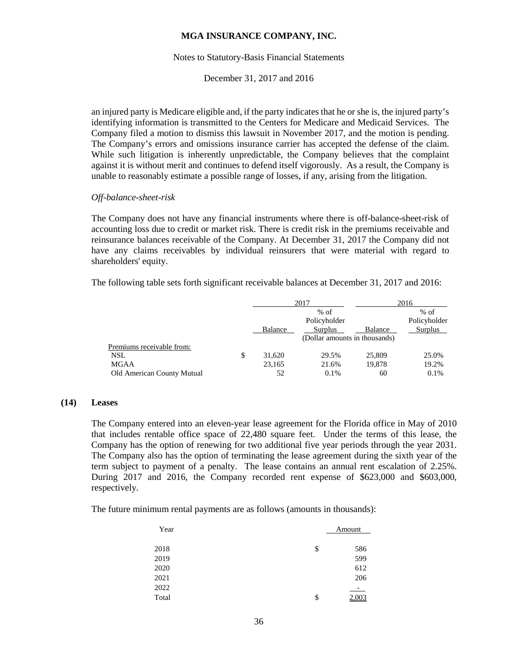#### Notes to Statutory-Basis Financial Statements

December 31, 2017 and 2016

an injured party is Medicare eligible and, if the party indicates that he or she is, the injured party's identifying information is transmitted to the Centers for Medicare and Medicaid Services. The Company filed a motion to dismiss this lawsuit in November 2017, and the motion is pending. The Company's errors and omissions insurance carrier has accepted the defense of the claim. While such litigation is inherently unpredictable, the Company believes that the complaint against it is without merit and continues to defend itself vigorously. As a result, the Company is unable to reasonably estimate a possible range of losses, if any, arising from the litigation.

#### *Off-balance-sheet-risk*

The Company does not have any financial instruments where there is off-balance-sheet-risk of accounting loss due to credit or market risk. There is credit risk in the premiums receivable and reinsurance balances receivable of the Company. At December 31, 2017 the Company did not have any claims receivables by individual reinsurers that were material with regard to shareholders' equity.

The following table sets forth significant receivable balances at December 31, 2017 and 2016:

|                            | 2017         |                               | 2016    |              |
|----------------------------|--------------|-------------------------------|---------|--------------|
|                            |              | $%$ of                        |         | $%$ of       |
|                            |              | Policyholder                  |         | Policyholder |
|                            | Balance      | Surplus                       | Balance | Surplus      |
|                            |              | (Dollar amounts in thousands) |         |              |
| Premiums receivable from:  |              |                               |         |              |
| <b>NSL</b>                 | \$<br>31,620 | 29.5%                         | 25,809  | 25.0%        |
| <b>MGAA</b>                | 23,165       | 21.6%                         | 19,878  | 19.2%        |
| Old American County Mutual | 52           | 0.1%                          | 60      | 0.1%         |

#### **(14) Leases**

The Company entered into an eleven-year lease agreement for the Florida office in May of 2010 that includes rentable office space of 22,480 square feet. Under the terms of this lease, the Company has the option of renewing for two additional five year periods through the year 2031. The Company also has the option of terminating the lease agreement during the sixth year of the term subject to payment of a penalty. The lease contains an annual rent escalation of 2.25%. During 2017 and 2016, the Company recorded rent expense of \$623,000 and \$603,000, respectively.

The future minimum rental payments are as follows (amounts in thousands):

| Year  | Amount    |  |
|-------|-----------|--|
|       |           |  |
| 2018  | \$<br>586 |  |
| 2019  | 599       |  |
| 2020  | 612       |  |
| 2021  | 206       |  |
| 2022  |           |  |
| Total | \$        |  |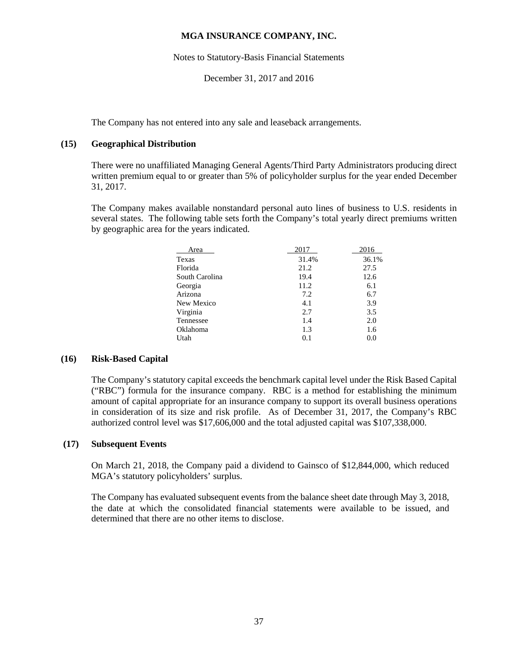Notes to Statutory-Basis Financial Statements

December 31, 2017 and 2016

The Company has not entered into any sale and leaseback arrangements.

### **(15) Geographical Distribution**

There were no unaffiliated Managing General Agents/Third Party Administrators producing direct written premium equal to or greater than 5% of policyholder surplus for the year ended December 31, 2017.

The Company makes available nonstandard personal auto lines of business to U.S. residents in several states. The following table sets forth the Company's total yearly direct premiums written by geographic area for the years indicated.

| Area           | 2017  | 2016  |
|----------------|-------|-------|
| Texas          | 31.4% | 36.1% |
| Florida        | 21.2  | 27.5  |
| South Carolina | 19.4  | 12.6  |
| Georgia        | 11.2  | 6.1   |
| Arizona        | 7.2   | 6.7   |
| New Mexico     | 4.1   | 3.9   |
| Virginia       | 2.7   | 3.5   |
| Tennessee      | 1.4   | 2.0   |
| Oklahoma       | 1.3   | 1.6   |
| Utah           | 0.1   | 0.0   |

#### **(16) Risk-Based Capital**

The Company's statutory capital exceeds the benchmark capital level under the Risk Based Capital ("RBC") formula for the insurance company. RBC is a method for establishing the minimum amount of capital appropriate for an insurance company to support its overall business operations in consideration of its size and risk profile. As of December 31, 2017, the Company's RBC authorized control level was \$17,606,000 and the total adjusted capital was \$107,338,000.

#### **(17) Subsequent Events**

On March 21, 2018, the Company paid a dividend to Gainsco of \$12,844,000, which reduced MGA's statutory policyholders' surplus.

The Company has evaluated subsequent events from the balance sheet date through May 3, 2018, the date at which the consolidated financial statements were available to be issued, and determined that there are no other items to disclose.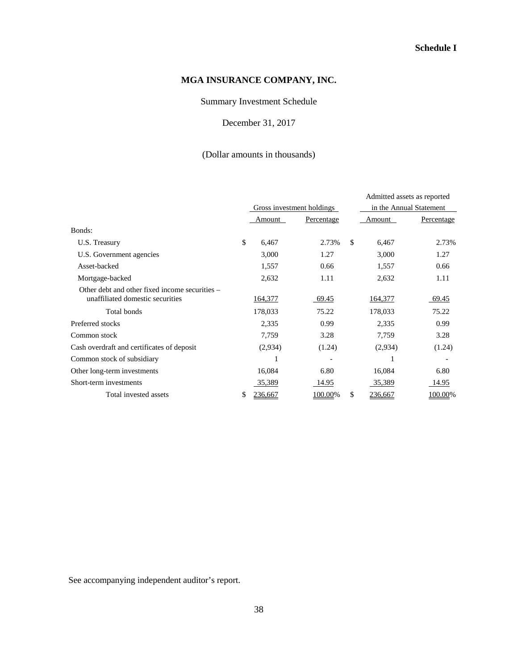# **Schedule I**

# **MGA INSURANCE COMPANY, INC.**

## Summary Investment Schedule

# December 31, 2017

# (Dollar amounts in thousands)

|                                                                                    |                           |            |                         | Admitted assets as reported |            |
|------------------------------------------------------------------------------------|---------------------------|------------|-------------------------|-----------------------------|------------|
|                                                                                    | Gross investment holdings |            | in the Annual Statement |                             |            |
|                                                                                    | Amount                    | Percentage |                         | Amount                      | Percentage |
| Bonds:                                                                             |                           |            |                         |                             |            |
| U.S. Treasury                                                                      | \$<br>6,467               | 2.73%      | \$                      | 6,467                       | 2.73%      |
| U.S. Government agencies                                                           | 3,000                     | 1.27       |                         | 3,000                       | 1.27       |
| Asset-backed                                                                       | 1,557                     | 0.66       |                         | 1,557                       | 0.66       |
| Mortgage-backed                                                                    | 2,632                     | 1.11       |                         | 2,632                       | 1.11       |
| Other debt and other fixed income securities –<br>unaffiliated domestic securities | 164,377                   | 69.45      |                         | 164,377                     | 69.45      |
| Total bonds                                                                        | 178,033                   | 75.22      |                         | 178,033                     | 75.22      |
| Preferred stocks                                                                   | 2,335                     | 0.99       |                         | 2,335                       | 0.99       |
| Common stock                                                                       | 7,759                     | 3.28       |                         | 7,759                       | 3.28       |
| Cash overdraft and certificates of deposit                                         | (2,934)                   | (1.24)     |                         | (2,934)                     | (1.24)     |
| Common stock of subsidiary                                                         |                           |            |                         | 1                           |            |
| Other long-term investments                                                        | 16,084                    | 6.80       |                         | 16,084                      | 6.80       |
| Short-term investments                                                             | 35,389                    | 14.95      |                         | 35,389                      | 14.95      |
| Total invested assets                                                              | \$<br>236,667             | 100.00%    | \$                      | 236,667                     | 100.00%    |

See accompanying independent auditor's report.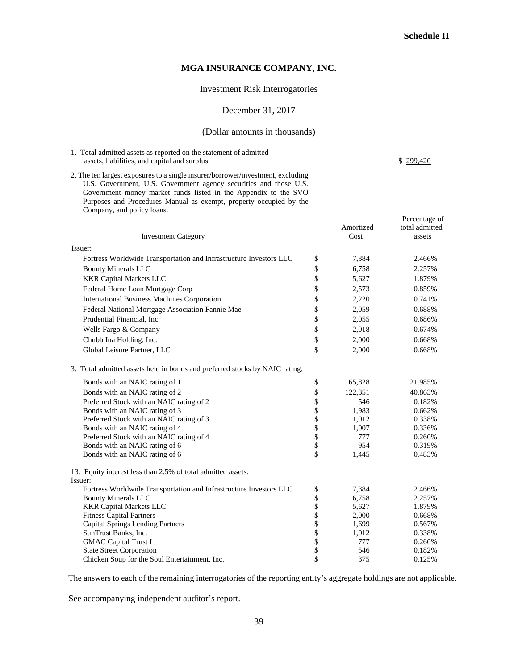#### Investment Risk Interrogatories

#### December 31, 2017

#### (Dollar amounts in thousands)

1. Total admitted assets as reported on the statement of admitted assets, liabilities, and capital and surplus  $\frac{299,420}{2}$ 

Percentage of

2. The ten largest exposures to a single insurer/borrower/investment, excluding U.S. Government, U.S. Government agency securities and those U.S. Government money market funds listed in the Appendix to the SVO Purposes and Procedures Manual as exempt, property occupied by the Company, and policy loans.

|                                                                             |          | Amortized | total admitted |
|-----------------------------------------------------------------------------|----------|-----------|----------------|
| <b>Investment Category</b>                                                  |          | Cost      | assets         |
| Issuer:                                                                     |          |           |                |
| Fortress Worldwide Transportation and Infrastructure Investors LLC          | \$       | 7,384     | 2.466%         |
| <b>Bounty Minerals LLC</b>                                                  | \$       | 6,758     | 2.257%         |
| <b>KKR Capital Markets LLC</b>                                              | \$       | 5,627     | 1.879%         |
| Federal Home Loan Mortgage Corp                                             | \$       | 2,573     | 0.859%         |
| <b>International Business Machines Corporation</b>                          | \$       | 2,220     | 0.741%         |
| Federal National Mortgage Association Fannie Mae                            | \$       | 2,059     | 0.688%         |
| Prudential Financial, Inc.                                                  | \$       | 2,055     | 0.686%         |
| Wells Fargo & Company                                                       | \$       | 2,018     | 0.674%         |
| Chubb Ina Holding, Inc.                                                     | \$       | 2,000     | 0.668%         |
| Global Leisure Partner, LLC                                                 | \$       | 2,000     | 0.668%         |
|                                                                             |          |           |                |
| 3. Total admitted assets held in bonds and preferred stocks by NAIC rating. |          |           |                |
| Bonds with an NAIC rating of 1                                              | \$       | 65,828    | 21.985%        |
| Bonds with an NAIC rating of 2                                              | \$       | 122,351   | 40.863%        |
| Preferred Stock with an NAIC rating of 2                                    | \$       | 546       | 0.182%         |
| Bonds with an NAIC rating of 3                                              | \$       | 1,983     | 0.662%         |
| Preferred Stock with an NAIC rating of 3                                    | \$       | 1,012     | 0.338%         |
| Bonds with an NAIC rating of 4                                              | \$       | 1,007     | 0.336%         |
| Preferred Stock with an NAIC rating of 4                                    | \$       | 777       | 0.260%         |
| Bonds with an NAIC rating of 6                                              | \$       | 954       | 0.319%         |
| Bonds with an NAIC rating of 6                                              | \$       | 1,445     | 0.483%         |
| 13. Equity interest less than 2.5% of total admitted assets.                |          |           |                |
| Issuer:                                                                     |          |           |                |
| Fortress Worldwide Transportation and Infrastructure Investors LLC          | \$       | 7,384     | 2.466%         |
| <b>Bounty Minerals LLC</b>                                                  | \$       | 6,758     | 2.257%         |
| <b>KKR Capital Markets LLC</b>                                              | \$<br>\$ | 5,627     | 1.879%         |
| <b>Fitness Capital Partners</b>                                             |          | 2,000     | 0.668%         |
| <b>Capital Springs Lending Partners</b>                                     | \$<br>\$ | 1,699     | 0.567%         |
| SunTrust Banks, Inc.                                                        |          | 1,012     | 0.338%         |
| <b>GMAC</b> Capital Trust I                                                 | \$       | 777       | 0.260%         |
| <b>State Street Corporation</b>                                             | \$       | 546       | 0.182%         |
| Chicken Soup for the Soul Entertainment, Inc.                               | \$       | 375       | 0.125%         |

The answers to each of the remaining interrogatories of the reporting entity's aggregate holdings are not applicable.

See accompanying independent auditor's report.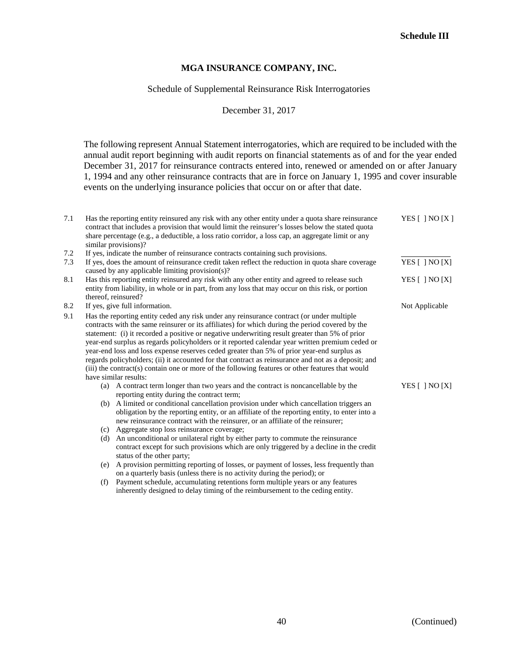### Schedule of Supplemental Reinsurance Risk Interrogatories

#### December 31, 2017

The following represent Annual Statement interrogatories, which are required to be included with the annual audit report beginning with audit reports on financial statements as of and for the year ended December 31, 2017 for reinsurance contracts entered into, renewed or amended on or after January 1, 1994 and any other reinsurance contracts that are in force on January 1, 1995 and cover insurable events on the underlying insurance policies that occur on or after that date.

| 7.1 |     | Has the reporting entity reinsured any risk with any other entity under a quota share reinsurance<br>contract that includes a provision that would limit the reinsurer's losses below the stated quota<br>share percentage (e.g., a deductible, a loss ratio corridor, a loss cap, an aggregate limit or any<br>similar provisions)?                                                                                                                                                                                                                                                                                                                                                                                                | YES $[ \ ]$ NO $[X]$ |
|-----|-----|-------------------------------------------------------------------------------------------------------------------------------------------------------------------------------------------------------------------------------------------------------------------------------------------------------------------------------------------------------------------------------------------------------------------------------------------------------------------------------------------------------------------------------------------------------------------------------------------------------------------------------------------------------------------------------------------------------------------------------------|----------------------|
| 7.2 |     | If yes, indicate the number of reinsurance contracts containing such provisions.                                                                                                                                                                                                                                                                                                                                                                                                                                                                                                                                                                                                                                                    |                      |
| 7.3 |     | If yes, does the amount of reinsurance credit taken reflect the reduction in quota share coverage<br>caused by any applicable limiting provision(s)?                                                                                                                                                                                                                                                                                                                                                                                                                                                                                                                                                                                | YES [ ] NO [X]       |
| 8.1 |     | Has this reporting entity reinsured any risk with any other entity and agreed to release such<br>entity from liability, in whole or in part, from any loss that may occur on this risk, or portion                                                                                                                                                                                                                                                                                                                                                                                                                                                                                                                                  | YES $[ \ ]$ NO $[X]$ |
|     |     | thereof, reinsured?                                                                                                                                                                                                                                                                                                                                                                                                                                                                                                                                                                                                                                                                                                                 |                      |
| 8.2 |     | If yes, give full information.                                                                                                                                                                                                                                                                                                                                                                                                                                                                                                                                                                                                                                                                                                      | Not Applicable       |
| 9.1 |     | Has the reporting entity ceded any risk under any reinsurance contract (or under multiple<br>contracts with the same reinsurer or its affiliates) for which during the period covered by the<br>statement: (i) it recorded a positive or negative underwriting result greater than 5% of prior<br>year-end surplus as regards policyholders or it reported calendar year written premium ceded or<br>year-end loss and loss expense reserves ceded greater than 5% of prior year-end surplus as<br>regards policyholders; (ii) it accounted for that contract as reinsurance and not as a deposit; and<br>(iii) the contract(s) contain one or more of the following features or other features that would<br>have similar results: |                      |
|     |     | (a) A contract term longer than two years and the contract is noncancellable by the<br>reporting entity during the contract term;                                                                                                                                                                                                                                                                                                                                                                                                                                                                                                                                                                                                   | YES [ 1 NO [X]       |
|     |     | (b) A limited or conditional cancellation provision under which cancellation triggers an<br>obligation by the reporting entity, or an affiliate of the reporting entity, to enter into a<br>new reinsurance contract with the reinsurer, or an affiliate of the reinsurer;                                                                                                                                                                                                                                                                                                                                                                                                                                                          |                      |
|     |     | (c) Aggregate stop loss reinsurance coverage;                                                                                                                                                                                                                                                                                                                                                                                                                                                                                                                                                                                                                                                                                       |                      |
|     | (d) | An unconditional or unilateral right by either party to commute the reinsurance<br>contract except for such provisions which are only triggered by a decline in the credit<br>status of the other party;                                                                                                                                                                                                                                                                                                                                                                                                                                                                                                                            |                      |
|     | (e) | A provision permitting reporting of losses, or payment of losses, less frequently than<br>on a quarterly basis (unless there is no activity during the period); or                                                                                                                                                                                                                                                                                                                                                                                                                                                                                                                                                                  |                      |

(f) Payment schedule, accumulating retentions form multiple years or any features inherently designed to delay timing of the reimbursement to the ceding entity.